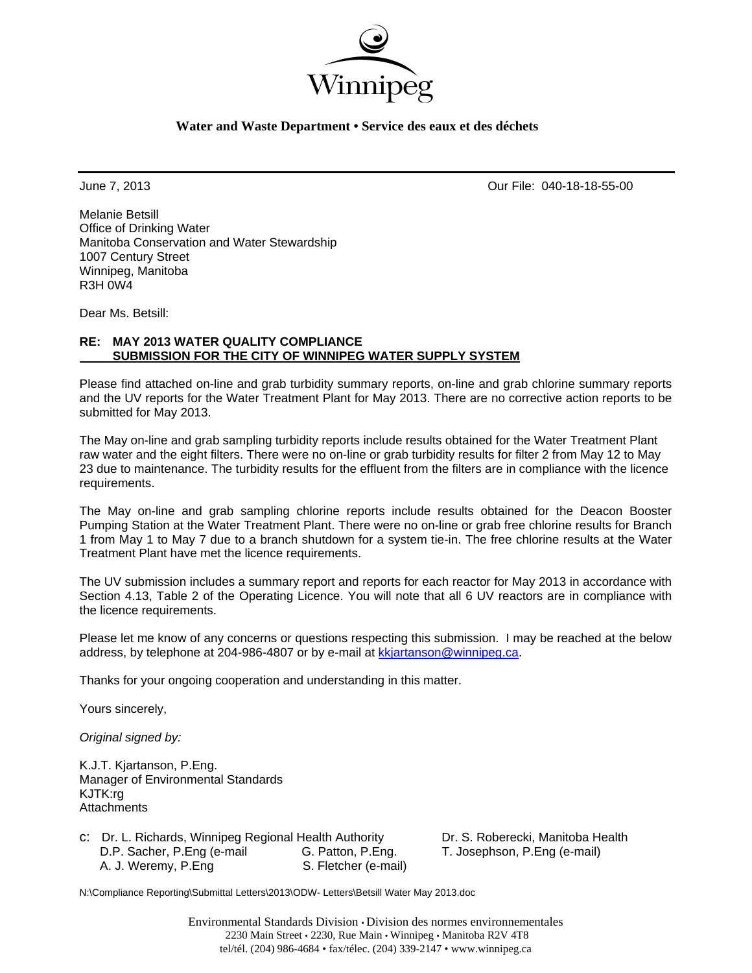

### **Water and Waste Department • Service des eaux et des déchets**

June 7, 2013 Our File: 040-18-18-55-00

Melanie Betsill Office of Drinking Water Manitoba Conservation and Water Stewardship 1007 Century Street Winnipeg, Manitoba R3H 0W4

Dear Ms. Betsill:

### **RE: MAY 2013 WATER QUALITY COMPLIANCE SUBMISSION FOR THE CITY OF WINNIPEG WATER SUPPLY SYSTEM**

Please find attached on-line and grab turbidity summary reports, on-line and grab chlorine summary reports and the UV reports for the Water Treatment Plant for May 2013. There are no corrective action reports to be submitted for May 2013.

The May on-line and grab sampling turbidity reports include results obtained for the Water Treatment Plant raw water and the eight filters. There were no on-line or grab turbidity results for filter 2 from May 12 to May 23 due to maintenance. The turbidity results for the effluent from the filters are in compliance with the licence requirements.

The May on-line and grab sampling chlorine reports include results obtained for the Deacon Booster Pumping Station at the Water Treatment Plant. There were no on-line or grab free chlorine results for Branch 1 from May 1 to May 7 due to a branch shutdown for a system tie-in. The free chlorine results at the Water Treatment Plant have met the licence requirements.

The UV submission includes a summary report and reports for each reactor for May 2013 in accordance with Section 4.13, Table 2 of the Operating Licence. You will note that all 6 UV reactors are in compliance with the licence requirements.

Please let me know of any concerns or questions respecting this submission. I may be reached at the below address, by telephone at 204-986-4807 or by e-mail at kkjartanson@winnipeg.ca.

Thanks for your ongoing cooperation and understanding in this matter.

Yours sincerely,

*Original signed by:* 

K.J.T. Kjartanson, P.Eng. Manager of Environmental Standards KJTK:rg **Attachments** 

| c: Dr. L. Richards, Winnipeg Regional Health Authority |                      |
|--------------------------------------------------------|----------------------|
| D.P. Sacher, P.Eng (e-mail                             | G. Patton, P.Eng.    |
| A. J. Weremy, P.Eng                                    | S. Fletcher (e-mail) |

Dr. S. Roberecki, Manitoba Health T. Josephson, P.Eng (e-mail)

N:\Compliance Reporting\Submittal Letters\2013\ODW- Letters\Betsill Water May 2013.doc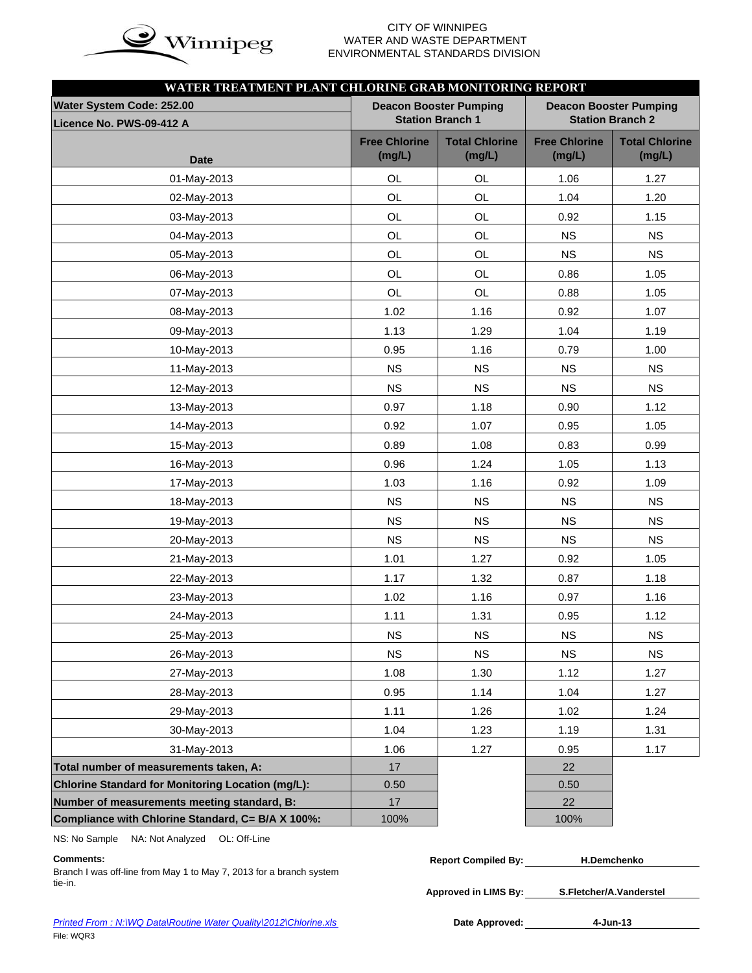

# WATER AND WASTE DEPARTMENT ENVIRONMENTAL STANDARDS DIVISION

| WATER TREATMENT PLANT CHLORINE GRAB MONITORING REPORT |                                |                                                          |                                |                                                          |
|-------------------------------------------------------|--------------------------------|----------------------------------------------------------|--------------------------------|----------------------------------------------------------|
| Water System Code: 252.00<br>Licence No. PWS-09-412 A |                                | <b>Deacon Booster Pumping</b><br><b>Station Branch 1</b> |                                | <b>Deacon Booster Pumping</b><br><b>Station Branch 2</b> |
| <b>Date</b>                                           | <b>Free Chlorine</b><br>(mg/L) | <b>Total Chlorine</b><br>(mg/L)                          | <b>Free Chlorine</b><br>(mg/L) | <b>Total Chlorine</b><br>(mg/L)                          |
| 01-May-2013                                           | OL                             | OL                                                       | 1.06                           | 1.27                                                     |
| 02-May-2013                                           | OL                             | OL                                                       | 1.04                           | 1.20                                                     |
| 03-May-2013                                           | OL                             | OL                                                       | 0.92                           | 1.15                                                     |
| 04-May-2013                                           | OL                             | OL                                                       | <b>NS</b>                      | <b>NS</b>                                                |
| 05-May-2013                                           | OL                             | OL                                                       | <b>NS</b>                      | <b>NS</b>                                                |
| 06-May-2013                                           | OL                             | OL                                                       | 0.86                           | 1.05                                                     |
| 07-May-2013                                           | OL                             | OL                                                       | 0.88                           | 1.05                                                     |
| 08-May-2013                                           | 1.02                           | 1.16                                                     | 0.92                           | 1.07                                                     |
| 09-May-2013                                           | 1.13                           | 1.29                                                     | 1.04                           | 1.19                                                     |
| 10-May-2013                                           | 0.95                           | 1.16                                                     | 0.79                           | 1.00                                                     |
| 11-May-2013                                           | <b>NS</b>                      | <b>NS</b>                                                | <b>NS</b>                      | <b>NS</b>                                                |
| 12-May-2013                                           | <b>NS</b>                      | <b>NS</b>                                                | <b>NS</b>                      | <b>NS</b>                                                |
| 13-May-2013                                           | 0.97                           | 1.18                                                     | 0.90                           | 1.12                                                     |
| 14-May-2013                                           | 0.92                           | 1.07                                                     | 0.95                           | 1.05                                                     |
| 15-May-2013                                           | 0.89                           | 1.08                                                     | 0.83                           | 0.99                                                     |
| 16-May-2013                                           | 0.96                           | 1.24                                                     | 1.05                           | 1.13                                                     |
| 17-May-2013                                           | 1.03                           | 1.16                                                     | 0.92                           | 1.09                                                     |
| 18-May-2013                                           | <b>NS</b>                      | <b>NS</b>                                                | <b>NS</b>                      | <b>NS</b>                                                |
| 19-May-2013                                           | NS                             | <b>NS</b>                                                | <b>NS</b>                      | <b>NS</b>                                                |
| 20-May-2013                                           | <b>NS</b>                      | <b>NS</b>                                                | <b>NS</b>                      | <b>NS</b>                                                |
| 21-May-2013                                           | 1.01                           | 1.27                                                     | 0.92                           | 1.05                                                     |
| 22-May-2013                                           | 1.17                           | 1.32                                                     | 0.87                           | 1.18                                                     |
| 23-May-2013                                           | 1.02                           | 1.16                                                     | 0.97                           | 1.16                                                     |
| 24-May-2013                                           | 1.11                           | 1.31                                                     | 0.95                           | 1.12                                                     |
| 25-May-2013                                           | NS.                            | NS.                                                      | NS.                            | NS.                                                      |
| 26-May-2013                                           | <b>NS</b>                      | NS                                                       | NS                             | <b>NS</b>                                                |
| 27-May-2013                                           | 1.08                           | 1.30                                                     | 1.12                           | 1.27                                                     |
| 28-May-2013                                           | 0.95                           | 1.14                                                     | 1.04                           | 1.27                                                     |
| 29-May-2013                                           | 1.11                           | 1.26                                                     | 1.02                           | 1.24                                                     |
| 30-May-2013                                           | 1.04                           | 1.23                                                     | 1.19                           | 1.31                                                     |
| 31-May-2013                                           | 1.06                           | 1.27                                                     | 0.95                           | 1.17                                                     |
| Total number of measurements taken, A:                | $17$                           |                                                          | 22                             |                                                          |
| Chlorine Standard for Monitoring Location (mg/L):     | 0.50                           |                                                          | 0.50                           |                                                          |
| Number of measurements meeting standard, B:           | 17                             |                                                          | 22                             |                                                          |
| Compliance with Chlorine Standard, C= B/A X 100%:     | 100%                           |                                                          | 100%                           |                                                          |

NS: No Sample NA: Not Analyzed OL: Off-Line

**Comments: Report Compiled By: H.Demchenko**

Branch I was off-line from May 1 to May 7, 2013 for a branch system tie-in.

**Approved in LIMS By: S.Fletcher/A.Vanderstel**

**Printed From : N:\WQ Data\Routine Water Quality\2012\Chlorine.xls** File: WQR3

Date Approved: 4-Jun-13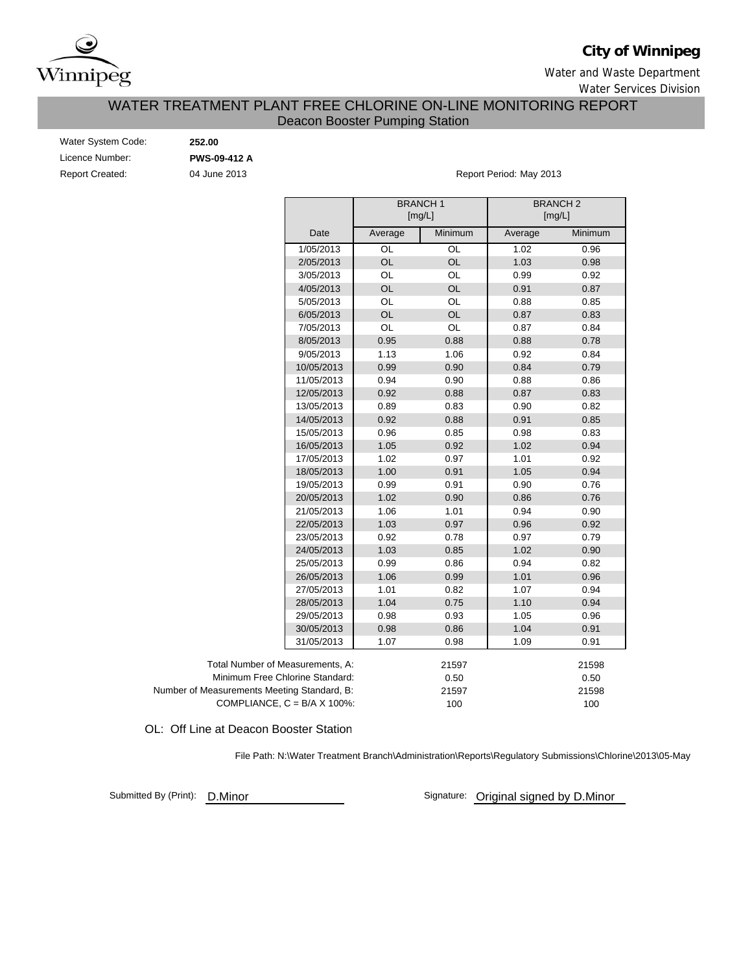

# **City of Winnipeg**

Water and Waste Department

Water Services Division

## WATER TREATMENT PLANT FREE CHLORINE ON-LINE MONITORING REPORT Deacon Booster Pumping Station

| Water System Code:     |  |
|------------------------|--|
| Licence Number:        |  |
| <b>Report Created:</b> |  |

Water System Code: **252.00 PWS-09-412 A**

04 June 2013

Report Period: May 2013

|                                             |            | <b>BRANCH1</b> | [mg/L]    | <b>BRANCH2</b><br>[mg/L] |         |
|---------------------------------------------|------------|----------------|-----------|--------------------------|---------|
|                                             | Date       | Average        | Minimum   | Average                  | Minimum |
|                                             | 1/05/2013  | OL             | OL        | 1.02                     | 0.96    |
|                                             | 2/05/2013  | OL             | OL        | 1.03                     | 0.98    |
|                                             | 3/05/2013  | OL             | OL        | 0.99                     | 0.92    |
|                                             | 4/05/2013  | <b>OL</b>      | <b>OL</b> | 0.91                     | 0.87    |
|                                             | 5/05/2013  | OL             | OL        | 0.88                     | 0.85    |
|                                             | 6/05/2013  | OL             | <b>OL</b> | 0.87                     | 0.83    |
|                                             | 7/05/2013  | OL             | OL        | 0.87                     | 0.84    |
|                                             | 8/05/2013  | 0.95           | 0.88      | 0.88                     | 0.78    |
|                                             | 9/05/2013  | 1.13           | 1.06      | 0.92                     | 0.84    |
|                                             | 10/05/2013 | 0.99           | 0.90      | 0.84                     | 0.79    |
|                                             | 11/05/2013 | 0.94           | 0.90      | 0.88                     | 0.86    |
|                                             | 12/05/2013 | 0.92           | 0.88      | 0.87                     | 0.83    |
|                                             | 13/05/2013 | 0.89           | 0.83      | 0.90                     | 0.82    |
|                                             | 14/05/2013 | 0.92           | 0.88      | 0.91                     | 0.85    |
|                                             | 15/05/2013 | 0.96           | 0.85      | 0.98                     | 0.83    |
|                                             | 16/05/2013 | 1.05           | 0.92      | 1.02                     | 0.94    |
|                                             | 17/05/2013 | 1.02           | 0.97      | 1.01                     | 0.92    |
|                                             | 18/05/2013 | 1.00           | 0.91      | 1.05                     | 0.94    |
|                                             | 19/05/2013 | 0.99           | 0.91      | 0.90                     | 0.76    |
|                                             | 20/05/2013 | 1.02           | 0.90      | 0.86                     | 0.76    |
|                                             | 21/05/2013 | 1.06           | 1.01      | 0.94                     | 0.90    |
|                                             | 22/05/2013 | 1.03           | 0.97      | 0.96                     | 0.92    |
|                                             | 23/05/2013 | 0.92           | 0.78      | 0.97                     | 0.79    |
|                                             | 24/05/2013 | 1.03           | 0.85      | 1.02                     | 0.90    |
|                                             | 25/05/2013 | 0.99           | 0.86      | 0.94                     | 0.82    |
|                                             | 26/05/2013 | 1.06           | 0.99      | 1.01                     | 0.96    |
|                                             | 27/05/2013 | 1.01           | 0.82      | 1.07                     | 0.94    |
|                                             | 28/05/2013 | 1.04           | 0.75      | 1.10                     | 0.94    |
|                                             | 29/05/2013 | 0.98           | 0.93      | 1.05                     | 0.96    |
|                                             | 30/05/2013 | 0.98           | 0.86      | 1.04                     | 0.91    |
|                                             | 31/05/2013 | 1.07           | 0.98      | 1.09                     | 0.91    |
| Total Number of Measurements, A:            |            |                | 21597     |                          | 21598   |
| Minimum Free Chlorine Standard:             |            |                | 0.50      |                          | 0.50    |
| Number of Measurements Meeting Standard, B: |            |                | 21597     |                          | 21598   |
| COMPLIANCE, $C = B/A \times 100\%$ :        |            |                | 100       |                          | 100     |

OL: Off Line at Deacon Booster Station

File Path: N:\Water Treatment Branch\Administration\Reports\Regulatory Submissions\Chlorine\2013\05-May

Submitted By (Print): D.Minor

Signature: Original signed by D.Minor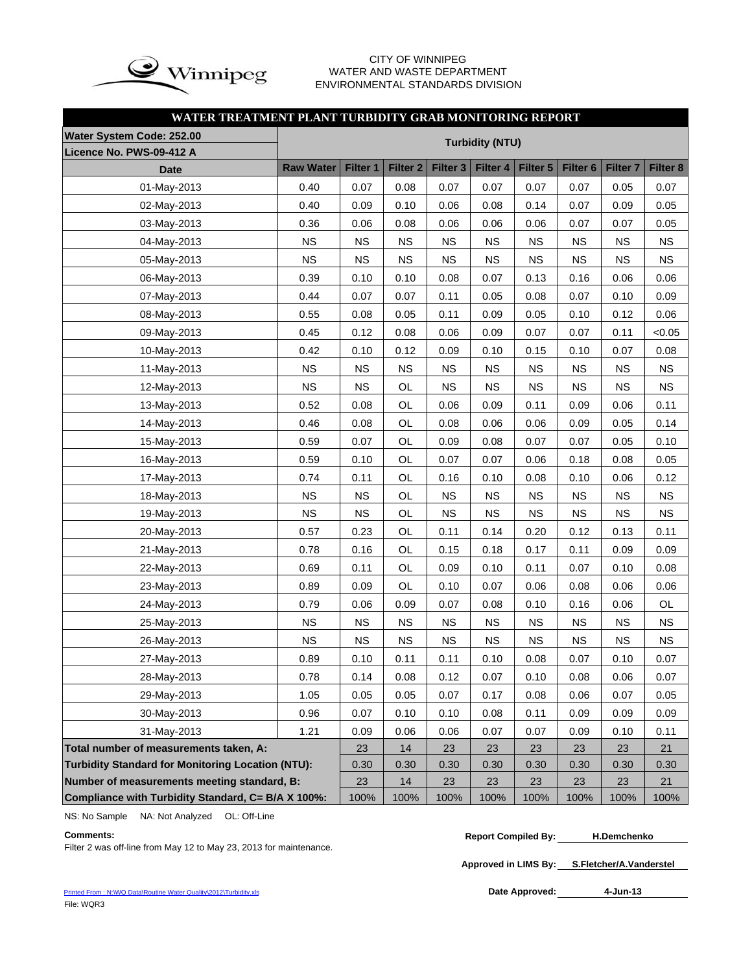

### CITY OF WINNIPEG WATER AND WASTE DEPARTMENT ENVIRONMENTAL STANDARDS DIVISION

### **WATER TREATMENT PLANT TURBIDITY GRAB MONITORING REPORT**

| Water System Code: 252.00                                |                  |           |                     |                     | <b>Turbidity (NTU)</b> |           |                     |                     |           |
|----------------------------------------------------------|------------------|-----------|---------------------|---------------------|------------------------|-----------|---------------------|---------------------|-----------|
| Licence No. PWS-09-412 A                                 |                  |           |                     |                     |                        |           |                     |                     |           |
| <b>Date</b>                                              | <b>Raw Water</b> | Filter 1  | Filter <sub>2</sub> | Filter <sub>3</sub> | Filter 4               | Filter 5  | Filter <sub>6</sub> | Filter <sub>7</sub> | Filter 8  |
| 01-May-2013                                              | 0.40             | 0.07      | 0.08                | 0.07                | 0.07                   | 0.07      | 0.07                | 0.05                | 0.07      |
| 02-May-2013                                              | 0.40             | 0.09      | 0.10                | 0.06                | 0.08                   | 0.14      | 0.07                | 0.09                | 0.05      |
| 03-May-2013                                              | 0.36             | 0.06      | 0.08                | 0.06                | 0.06                   | 0.06      | 0.07                | 0.07                | 0.05      |
| 04-May-2013                                              | <b>NS</b>        | <b>NS</b> | <b>NS</b>           | <b>NS</b>           | <b>NS</b>              | <b>NS</b> | <b>NS</b>           | <b>NS</b>           | <b>NS</b> |
| 05-May-2013                                              | <b>NS</b>        | <b>NS</b> | <b>NS</b>           | <b>NS</b>           | <b>NS</b>              | <b>NS</b> | <b>NS</b>           | <b>NS</b>           | <b>NS</b> |
| 06-May-2013                                              | 0.39             | 0.10      | 0.10                | 0.08                | 0.07                   | 0.13      | 0.16                | 0.06                | 0.06      |
| 07-May-2013                                              | 0.44             | 0.07      | 0.07                | 0.11                | 0.05                   | 0.08      | 0.07                | 0.10                | 0.09      |
| 08-May-2013                                              | 0.55             | 0.08      | 0.05                | 0.11                | 0.09                   | 0.05      | 0.10                | 0.12                | 0.06      |
| 09-May-2013                                              | 0.45             | 0.12      | 0.08                | 0.06                | 0.09                   | 0.07      | 0.07                | 0.11                | < 0.05    |
| 10-May-2013                                              | 0.42             | 0.10      | 0.12                | 0.09                | 0.10                   | 0.15      | 0.10                | 0.07                | 0.08      |
| 11-May-2013                                              | <b>NS</b>        | <b>NS</b> | <b>NS</b>           | <b>NS</b>           | <b>NS</b>              | <b>NS</b> | <b>NS</b>           | <b>NS</b>           | <b>NS</b> |
| 12-May-2013                                              | <b>NS</b>        | <b>NS</b> | OL                  | <b>NS</b>           | <b>NS</b>              | <b>NS</b> | <b>NS</b>           | <b>NS</b>           | <b>NS</b> |
| 13-May-2013                                              | 0.52             | 0.08      | OL                  | 0.06                | 0.09                   | 0.11      | 0.09                | 0.06                | 0.11      |
| 14-May-2013                                              | 0.46             | 0.08      | OL                  | 0.08                | 0.06                   | 0.06      | 0.09                | 0.05                | 0.14      |
| 15-May-2013                                              | 0.59             | 0.07      | OL                  | 0.09                | 0.08                   | 0.07      | 0.07                | 0.05                | 0.10      |
| 16-May-2013                                              | 0.59             | 0.10      | OL                  | 0.07                | 0.07                   | 0.06      | 0.18                | 0.08                | 0.05      |
| 17-May-2013                                              | 0.74             | 0.11      | OL                  | 0.16                | 0.10                   | 0.08      | 0.10                | 0.06                | 0.12      |
| 18-May-2013                                              | <b>NS</b>        | <b>NS</b> | OL                  | <b>NS</b>           | <b>NS</b>              | <b>NS</b> | <b>NS</b>           | <b>NS</b>           | <b>NS</b> |
| 19-May-2013                                              | <b>NS</b>        | <b>NS</b> | OL                  | <b>NS</b>           | <b>NS</b>              | <b>NS</b> | <b>NS</b>           | <b>NS</b>           | <b>NS</b> |
| 20-May-2013                                              | 0.57             | 0.23      | OL                  | 0.11                | 0.14                   | 0.20      | 0.12                | 0.13                | 0.11      |
| 21-May-2013                                              | 0.78             | 0.16      | OL                  | 0.15                | 0.18                   | 0.17      | 0.11                | 0.09                | 0.09      |
| 22-May-2013                                              | 0.69             | 0.11      | OL                  | 0.09                | 0.10                   | 0.11      | 0.07                | 0.10                | 0.08      |
| 23-May-2013                                              | 0.89             | 0.09      | OL                  | 0.10                | 0.07                   | 0.06      | 0.08                | 0.06                | 0.06      |
| 24-May-2013                                              | 0.79             | 0.06      | 0.09                | 0.07                | 0.08                   | 0.10      | 0.16                | 0.06                | OL        |
| 25-May-2013                                              | <b>NS</b>        | <b>NS</b> | <b>NS</b>           | <b>NS</b>           | <b>NS</b>              | <b>NS</b> | <b>NS</b>           | <b>NS</b>           | <b>NS</b> |
| 26-May-2013                                              | <b>NS</b>        | <b>NS</b> | <b>NS</b>           | <b>NS</b>           | <b>NS</b>              | <b>NS</b> | <b>NS</b>           | <b>NS</b>           | <b>NS</b> |
| 27-May-2013                                              | 0.89             | 0.10      | 0.11                | 0.11                | 0.10                   | 0.08      | 0.07                | 0.10                | 0.07      |
| 28-May-2013                                              | 0.78             | 0.14      | 0.08                | 0.12                | 0.07                   | 0.10      | 0.08                | 0.06                | 0.07      |
| 29-May-2013                                              | 1.05             | 0.05      | 0.05                | 0.07                | 0.17                   | 0.08      | 0.06                | 0.07                | 0.05      |
| 30-May-2013                                              | 0.96             | 0.07      | 0.10                | 0.10                | 0.08                   | 0.11      | 0.09                | 0.09                | 0.09      |
| 31-May-2013                                              | 1.21             | 0.09      | 0.06                | 0.06                | 0.07                   | 0.07      | 0.09                | 0.10                | 0.11      |
| Total number of measurements taken, A:                   |                  | 23        | 14                  | 23                  | 23                     | 23        | 23                  | 23                  | 21        |
| <b>Turbidity Standard for Monitoring Location (NTU):</b> |                  | 0.30      | 0.30                | 0.30                | 0.30                   | 0.30      | 0.30                | 0.30                | 0.30      |
| Number of measurements meeting standard, B:              |                  | 23        | 14                  | 23                  | 23                     | 23        | 23                  | 23                  | 21        |
| Compliance with Turbidity Standard, C= B/A X 100%:       |                  | 100%      | 100%                | 100%                | 100%                   | 100%      | 100%                | 100%                | 100%      |

NS: No Sample NA: Not Analyzed OL: Off-Line

Filter 2 was off-line from May 12 to May 23, 2013 for maintenance.

**Approved in LIMS By: S.Fletcher/A.Vanderstel**

Date Approved: 4-Jun-13

**Comments: Report Compiled By: H.Demchenko**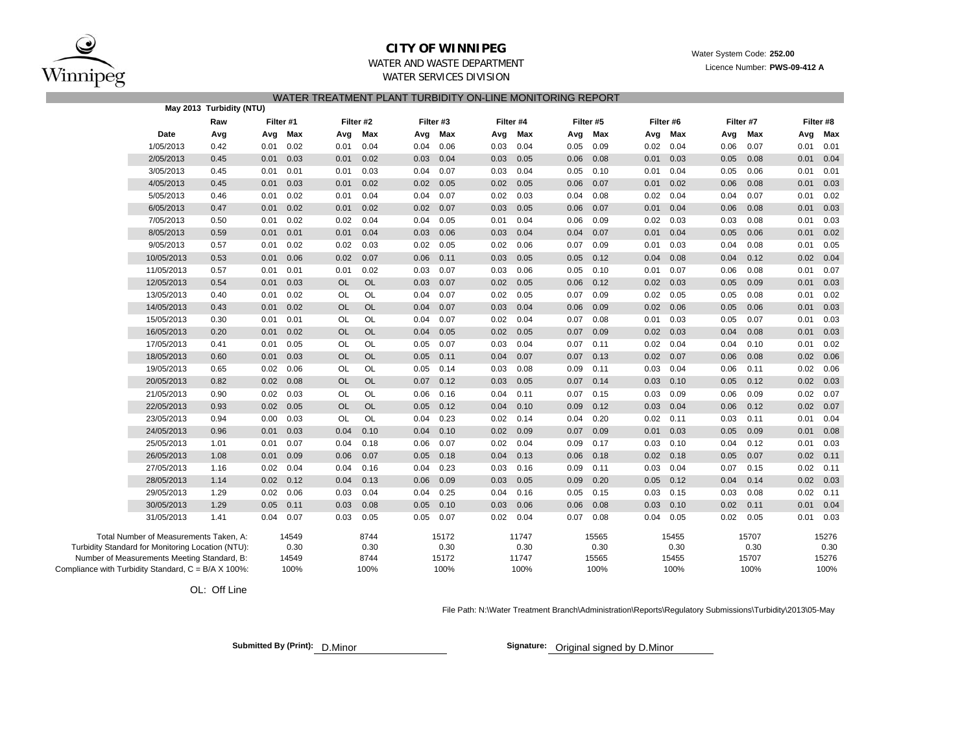

### **CITY OF WINNIPEG**

### WATER AND WASTE DEPARTMENTWATER SERVICES DIVISION

### WATER TREATMENT PLANT TURBIDITY ON-LINE MONITORING REPORT

|                                                     |                                                   | May 2013 Turbidity (NTU) |      |           |           |           |      |             |      |           |      |           |             |           |      |           |      |           |
|-----------------------------------------------------|---------------------------------------------------|--------------------------|------|-----------|-----------|-----------|------|-------------|------|-----------|------|-----------|-------------|-----------|------|-----------|------|-----------|
|                                                     |                                                   | Raw                      |      | Filter #1 |           | Filter #2 |      | Filter #3   |      | Filter #4 |      | Filter #5 |             | Filter #6 |      | Filter #7 |      | Filter #8 |
|                                                     | Date                                              | Avg                      | Avg  | Max       | Avg       | Max       |      | Avg Max     | Avg  | Max       | Avg  | Max       | Avg         | Max       | Avg  | Max       | Avg  | Max       |
|                                                     | 1/05/2013                                         | 0.42                     | 0.01 | 0.02      | 0.01      | 0.04      | 0.04 | 0.06        | 0.03 | 0.04      | 0.05 | 0.09      | 0.02        | 0.04      | 0.06 | 0.07      | 0.01 | 0.01      |
|                                                     | 2/05/2013                                         | 0.45                     | 0.01 | 0.03      | 0.01      | 0.02      | 0.03 | 0.04        | 0.03 | 0.05      | 0.06 | 0.08      | 0.01        | 0.03      | 0.05 | 0.08      | 0.01 | 0.04      |
|                                                     | 3/05/2013                                         | 0.45                     | 0.01 | 0.01      | 0.01      | 0.03      | 0.04 | 0.07        | 0.03 | 0.04      | 0.05 | 0.10      | 0.01        | 0.04      | 0.05 | 0.06      | 0.01 | 0.01      |
|                                                     | 4/05/2013                                         | 0.45                     | 0.01 | 0.03      | 0.01      | 0.02      | 0.02 | 0.05        | 0.02 | 0.05      | 0.06 | 0.07      | 0.01        | 0.02      | 0.06 | 0.08      | 0.01 | 0.03      |
|                                                     | 5/05/2013                                         | 0.46                     | 0.01 | 0.02      | 0.01      | 0.04      |      | $0.04$ 0.07 | 0.02 | 0.03      | 0.04 | 0.08      | $0.02$ 0.04 |           | 0.04 | 0.07      | 0.01 | 0.02      |
|                                                     | 6/05/2013                                         | 0.47                     | 0.01 | 0.02      | 0.01      | 0.02      | 0.02 | 0.07        | 0.03 | 0.05      | 0.06 | 0.07      | 0.01        | 0.04      | 0.06 | 0.08      | 0.01 | 0.03      |
|                                                     | 7/05/2013                                         | 0.50                     | 0.01 | 0.02      | 0.02      | 0.04      | 0.04 | 0.05        | 0.01 | 0.04      | 0.06 | 0.09      | 0.02        | 0.03      | 0.03 | 0.08      | 0.01 | 0.03      |
|                                                     | 8/05/2013                                         | 0.59                     | 0.01 | 0.01      | 0.01      | 0.04      | 0.03 | 0.06        | 0.03 | 0.04      | 0.04 | 0.07      | 0.01        | 0.04      | 0.05 | 0.06      | 0.01 | 0.02      |
|                                                     | 9/05/2013                                         | 0.57                     | 0.01 | 0.02      | 0.02      | 0.03      | 0.02 | 0.05        | 0.02 | 0.06      | 0.07 | 0.09      | 0.01        | 0.03      | 0.04 | 0.08      | 0.01 | 0.05      |
|                                                     | 10/05/2013                                        | 0.53                     | 0.01 | 0.06      | 0.02      | 0.07      | 0.06 | 0.11        | 0.03 | 0.05      | 0.05 | 0.12      | 0.04        | 0.08      | 0.04 | 0.12      | 0.02 | 0.04      |
|                                                     | 11/05/2013                                        | 0.57                     | 0.01 | 0.01      | 0.01      | 0.02      | 0.03 | 0.07        | 0.03 | 0.06      | 0.05 | 0.10      | 0.01        | 0.07      | 0.06 | 0.08      | 0.01 | 0.07      |
|                                                     | 12/05/2013                                        | 0.54                     | 0.01 | 0.03      | <b>OL</b> | OL        | 0.03 | 0.07        | 0.02 | 0.05      | 0.06 | 0.12      | 0.02        | 0.03      | 0.05 | 0.09      | 0.01 | 0.03      |
|                                                     | 13/05/2013                                        | 0.40                     | 0.01 | 0.02      | OL        | OL        | 0.04 | 0.07        | 0.02 | 0.05      | 0.07 | 0.09      | 0.02        | 0.05      | 0.05 | 0.08      | 0.01 | 0.02      |
|                                                     | 14/05/2013                                        | 0.43                     | 0.01 | 0.02      | <b>OL</b> | OL        | 0.04 | 0.07        | 0.03 | 0.04      | 0.06 | 0.09      | 0.02        | 0.06      | 0.05 | 0.06      | 0.01 | 0.03      |
|                                                     | 15/05/2013                                        | 0.30                     | 0.01 | 0.01      | OL        | OL        | 0.04 | 0.07        | 0.02 | 0.04      | 0.07 | 0.08      | 0.01        | 0.03      | 0.05 | 0.07      | 0.01 | 0.03      |
|                                                     | 16/05/2013                                        | 0.20                     | 0.01 | 0.02      | <b>OL</b> | OL        | 0.04 | 0.05        | 0.02 | 0.05      | 0.07 | 0.09      | 0.02        | 0.03      | 0.04 | 0.08      | 0.01 | 0.03      |
|                                                     | 17/05/2013                                        | 0.41                     | 0.01 | 0.05      | <b>OL</b> | OL        | 0.05 | 0.07        | 0.03 | 0.04      | 0.07 | 0.11      | 0.02        | 0.04      | 0.04 | 0.10      | 0.01 | 0.02      |
|                                                     | 18/05/2013                                        | 0.60                     | 0.01 | 0.03      | <b>OL</b> | OL        | 0.05 | 0.11        | 0.04 | 0.07      | 0.07 | 0.13      | 0.02        | 0.07      | 0.06 | 0.08      | 0.02 | 0.06      |
|                                                     | 19/05/2013                                        | 0.65                     | 0.02 | 0.06      | <b>OL</b> | OL        | 0.05 | 0.14        | 0.03 | 0.08      | 0.09 | 0.11      | 0.03        | 0.04      | 0.06 | 0.11      | 0.02 | 0.06      |
|                                                     | 20/05/2013                                        | 0.82                     | 0.02 | 0.08      | <b>OL</b> | OL        | 0.07 | 0.12        | 0.03 | 0.05      | 0.07 | 0.14      | 0.03        | 0.10      | 0.05 | 0.12      | 0.02 | 0.03      |
|                                                     | 21/05/2013                                        | 0.90                     | 0.02 | 0.03      | OL        | OL        | 0.06 | 0.16        | 0.04 | 0.11      | 0.07 | 0.15      | 0.03        | 0.09      | 0.06 | 0.09      | 0.02 | 0.07      |
|                                                     | 22/05/2013                                        | 0.93                     | 0.02 | 0.05      | <b>OL</b> | OL        | 0.05 | 0.12        | 0.04 | 0.10      | 0.09 | 0.12      | 0.03        | 0.04      | 0.06 | 0.12      | 0.02 | 0.07      |
|                                                     | 23/05/2013                                        | 0.94                     | 0.00 | 0.03      | OL        | OL        | 0.04 | 0.23        | 0.02 | 0.14      | 0.04 | 0.20      | 0.02        | 0.11      | 0.03 | 0.11      | 0.01 | 0.04      |
|                                                     | 24/05/2013                                        | 0.96                     | 0.01 | 0.03      | 0.04      | 0.10      | 0.04 | 0.10        | 0.02 | 0.09      | 0.07 | 0.09      | 0.01        | 0.03      | 0.05 | 0.09      | 0.01 | 0.08      |
|                                                     | 25/05/2013                                        | 1.01                     | 0.01 | 0.07      | 0.04      | 0.18      | 0.06 | 0.07        | 0.02 | 0.04      | 0.09 | 0.17      | 0.03        | 0.10      | 0.04 | 0.12      | 0.01 | 0.03      |
|                                                     | 26/05/2013                                        | 1.08                     | 0.01 | 0.09      | 0.06      | 0.07      | 0.05 | 0.18        | 0.04 | 0.13      | 0.06 | 0.18      | 0.02        | 0.18      | 0.05 | 0.07      | 0.02 | 0.11      |
|                                                     | 27/05/2013                                        | 1.16                     | 0.02 | 0.04      | 0.04      | 0.16      | 0.04 | 0.23        | 0.03 | 0.16      | 0.09 | 0.11      | 0.03        | 0.04      | 0.07 | 0.15      | 0.02 | 0.11      |
|                                                     | 28/05/2013                                        | 1.14                     | 0.02 | 0.12      | 0.04      | 0.13      | 0.06 | 0.09        | 0.03 | 0.05      | 0.09 | 0.20      | 0.05        | 0.12      | 0.04 | 0.14      | 0.02 | 0.03      |
|                                                     | 29/05/2013                                        | 1.29                     | 0.02 | 0.06      | 0.03      | 0.04      | 0.04 | 0.25        | 0.04 | 0.16      | 0.05 | 0.15      | 0.03        | 0.15      | 0.03 | 0.08      | 0.02 | 0.11      |
|                                                     | 30/05/2013                                        | 1.29                     | 0.05 | 0.11      | 0.03      | 0.08      | 0.05 | 0.10        | 0.03 | 0.06      | 0.06 | 0.08      | 0.03        | 0.10      | 0.02 | 0.11      | 0.01 | 0.04      |
|                                                     | 31/05/2013                                        | 1.41                     | 0.04 | 0.07      | 0.03      | 0.05      | 0.05 | 0.07        | 0.02 | 0.04      | 0.07 | 0.08      | 0.04        | 0.05      | 0.02 | 0.05      | 0.01 | 0.03      |
|                                                     | Total Number of Measurements Taken, A:            |                          |      | 14549     |           | 8744      |      | 15172       |      | 11747     |      | 15565     |             | 15455     |      | 15707     |      | 15276     |
|                                                     | Turbidity Standard for Monitoring Location (NTU): |                          |      | 0.30      |           | 0.30      |      | 0.30        |      | 0.30      |      | 0.30      |             | 0.30      |      | 0.30      |      | 0.30      |
|                                                     | Number of Measurements Meeting Standard, B:       |                          |      | 14549     |           | 8744      |      | 15172       |      | 11747     |      | 15565     |             | 15455     |      | 15707     |      | 15276     |
| Compliance with Turbidity Standard, C = B/A X 100%: |                                                   |                          |      | 100%      |           | 100%      |      | 100%        |      | 100%      |      | 100%      |             | 100%      |      | 100%      |      | 100%      |

OL: Off Line

File Path: N:\Water Treatment Branch\Administration\Reports\Regulatory Submissions\Turbidity\2013\05-May

**Submitted By (Print): D.Minor** 

Signature: Original signed by D.Minor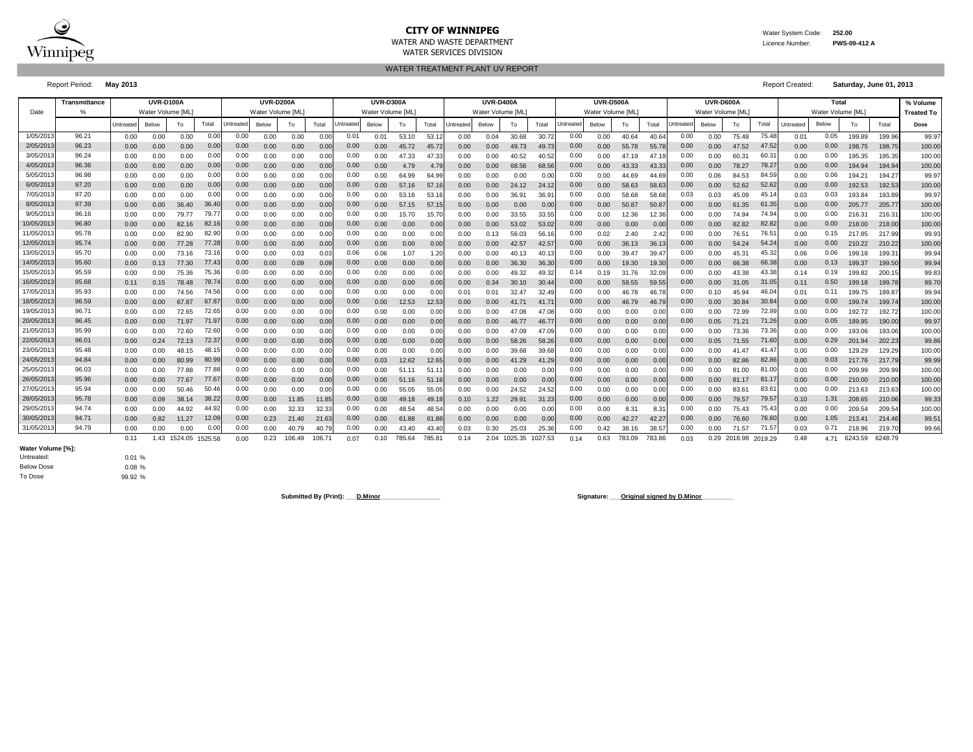

WATER AND WASTE DEPARTMENT Licence Number: **PWS-09-412 A**

WATER SERVICES DIVISION WATER TREATMENT PLANT UV REPORT

Report Period: **May 2013** Report Created: **Saturday, June 01, 2013**

|            | <b>Transmittance</b> |           | <b>UVR-D100A</b>  |              |         |                                | UVR-D200A         |        |        |                  | <b>UVR-D300A</b>  |        |       |                  | <b>UVR-D400A</b>  |              |         |                  | <b>UVR-D500A</b>  |        |               |                  | <b>UVR-D600A</b> |                      |       |           | Total             |         |         | % Volume          |
|------------|----------------------|-----------|-------------------|--------------|---------|--------------------------------|-------------------|--------|--------|------------------|-------------------|--------|-------|------------------|-------------------|--------------|---------|------------------|-------------------|--------|---------------|------------------|------------------|----------------------|-------|-----------|-------------------|---------|---------|-------------------|
| Date       |                      |           | Water Volume [ML] |              |         |                                | Water Volume [ML] |        |        |                  | Water Volume [ML] |        |       |                  | Water Volume [ML] |              |         |                  | Water Volume IML` |        |               |                  | Water Volume IML |                      |       |           | Water Volume [ML] |         |         | <b>Treated To</b> |
|            |                      | Untreated | Below             | To           | Total   | <b><i><u>Intreated</u></i></b> | Below             | To     | Total  | <b>Jntreated</b> | Below             | To     | Total | <b>Jntreated</b> | Below             | To           | Total   | <b>Jntreated</b> | Below             | To     | Total         | <b>Jntreated</b> | Below            | To                   | Total | Untreated | Below             | To      | Total   | Dose              |
| 1/05/201   | 96.21                | 0.00      | 0.00              | 0.00         | 0.00    | 0.00                           | 0.00              | 0.00   | 0.00   | 0.01             | 0.01              | 53.10  | 53.12 | 0.00             | 0.04              | 30.68        | 30.72   | 0.00             | 0.00              | 40.64  | 40.64         | 0.00             | 0.00             | 75.48                | 75.48 | 0.01      | 0.05              | 199.89  | 199.96  | 99.97             |
| 2/05/201   | 96.23                | 0.00      | 0.00              | 0.00         | 0.00    | 0.00                           | 0.00              | 0.00   | 0.00   | 0.00             | 0.00              | 45.72  | 45.72 | 0.00             | 0.00              | 49.73        | 49.73   | 0.00             | 0.00              | 55.78  | 55.7          | 0.00             | 0.00             | 47.52                | 47.52 | 0.00      | 0.00              | 198.75  | 198.75  | 100.00            |
| 3/05/201   | 96.24                | 0.00      | 0.00              | 0.00         | 0.00    | 0.00                           | 0.00              | 0.00   | 0.00   | 0.00             | 0.00              | 47.33  | 47.33 | 0.00             | 0.00              | 40.52        | 40.52   | 0.00             | 0.00              | 47.19  | 47.1          | 0.00             | 0.00             | 60.31                | 60.3  | 0.00      | 0.00              | 195.35  | 195.35  | 100.00            |
| 4/05/201   | 96.36                | 0.00      | 0.00              | 0.00         | 0.00    | 0.00                           | 0.00              | 0.00   | 0.00   | 0.00             | 0.00              | 4.79   | 4.79  | 0.00             | 0.00 <sub>1</sub> | 68.56        | 68.56   | 0.00             | 0.00              | 43.33  | 43.33         | 0.00             | 0.00             | 78.27                | 78.2  | 0.00      | 0.00              | 194.94  | 194.94  | 100.00            |
| 5/05/201   | 96.98                | 0.00      | 0.00              | 0.00         | 0.00    | 0.00                           | 0.00              | 0.00   | 0.00   | 0.00             | 0.00              | 64.99  | 64.99 | 0.00             | 0.00              | 0.00         | 0.00    | 0.00             | 0.00              | 44.69  | 44.6          | 0.00             | 0.06             | 84.53                | 84.5  | 0.00      | 0.06              | 194.21  | 194.27  | 99.97             |
| 6/05/201   | 97.20                | 0.00      | 0.00              | 0.00         | 0.00    | 0.00                           | 0.00              | 0.00   | 0.00   | 0.00             | 0.00              | 57.16  | 57.16 | 0.00             | 0.00 <sub>1</sub> | 24.12        | 24.12   | 0.00             | 0.00              | 58.63  | 58.6          | 0.00             | 0.00             | 52.62                | 52.6  | 0.00      | 0.00              | 192.53  | 192.53  | 100.00            |
| 7/05/201   | 97.20                | 0.00      | 0.00              | 0.00         | 0.00    | 0.00                           | 0.00              | 0.00   | 0.00   | 0.00             | 0.00              | 53.16  | 53.16 | 0.00             | 0.00              | 36.91        | 36.9    | 0.00             | 0.00              | 58.68  | 58.6          | 0.03             | 0.03             | 45.09                | 45.1  | 0.03      | 0.03              | 193.84  | 193.89  | 99.97             |
| 8/05/201   | 97.39                | 0.00      | 0.00              | 36.40        | 36.40   | 0.00                           | 0.00              | 0.00   | 0.00   | 0.00             | 0.00              | 57.15  | 57.15 | 0.00             | 0.00              | 0.00         | 0.00    | 0.00             | 0.00              | 50.87  | 50.8          | 0.00             | 0.00             | 61.35                | 61.3  | 0.00      | 0.00              | 205,77  | 205.77  | 100.00            |
| 9/05/201   | 96.16                | 0.00      | 0.00              | 79.77        | 79.77   | 0.00                           | 0.00              | 0.00   | 0.00   | 0.00             | 0.00              | 15.70  | 15.70 | 0.00             | 0.00              | 33.55        | 33.55   | 0.00             | 0.00              | 12.36  | 12.3          | 0.00             | 0.00             | 74.94                | 74.9  | 0.00      | 0.00              | 216.31  | 216.3'  | 100.00            |
| 10/05/201  | 96.80                | 0.00      | 0.00              | 82.16        | 82.16   | 0.00                           | 0.00              | 0.00   | 0.00   | 0.00             | 0.00              | 0.00   | 0.00  | 0.00             | 0.00 <sub>1</sub> | 53.02        | 53.02   | 0.00             | 0.00              | 0.00   | 0.0           | 0.00             | 0.00             | 82.82                | 82.82 | 0.00      | 0.00              | 218.00  | 218,00  | 100.00            |
| 11/05/201  | 95.78                | 0.00      | 0.00              | 82.90        | 82.90   | 0.00                           | 0.00              | 0.00   | 0.00   | 0.00             | 0.00              | 0.00   | 0.00  | 0.00             | 0.13              | 56.03        | 56.16   | 0.00             | 0.02              | 2.40   | 2.42          | 0.00             | 0.00             | 76.51                | 76.5  | 0.00      | 0.15              | 217.85  | 217.99  | 99.93             |
| 12/05/201: | 95.74                | 0.00      | 0.00              | 77.28        | 77.28   | 0.00                           | 0.00              | 0.00   | 0.00   | 0.00             | 0.00              | 0.00   | 0.00  | 0.00             | 0.00 <sub>1</sub> | 42.57        | 42.57   | 0.00             | 0.00              | 36.13  | 36.1          | 0.00             | 0.00             | 54.24                | 54.24 | 0.00      | 0.00              | 210.22  | 210.22  | 100.00            |
| 13/05/2013 | 95.70                | 0.00      | 0.00              | 73.16        | 73.16   | 0.00                           | 0.00              | 0.03   | 0.03   | 0.06             | 0.06              | 1.07   | 1.20  | 0.00             | 0.00              | 40.13        | 40.1    | 0.00             | 0.00              | 39.47  | 39.4          | 0.00             | 0.00             | 45.31                | 45.3  | 0.06      | 0.06              | 199.18  | 199.3'  | 99.94             |
| 14/05/201  | 95.60                | 0.00      | 0.13              | 77.30        | 77.43   | 0.00                           | 0.00              | 0.09   | 0.09   | 0.00             | 0.00              | 0.00   | 0.00  | 0.00             | 0.00              | 36.30        | 36.30   | 0.00             | 0.00              | 19.30  | 19.3          | 0.00             | 0.00             | 66.38                | 66.38 | 0.00      | 0.13              | 199.37  | 199.50  | 99.94             |
| 15/05/201  | 95.59                | 0.00      | 0.00              | 75.36        | 75.36   | 0.00                           | 0.00              | 0.00   | 0.00   | 0.00             | 0.00              | 0.00   | 0.00  | 0.00             | 0.00              | 49.32        | 49.32   | 0.14             | 0.19              | 31.76  | 32.0          | 0.00             | 0.00             | 43.38                | 43.3  | 0.14      | 0.19              | 199.82  | 200.1   | 99.83             |
| 16/05/201  | 95.68                | 0.11      | 0.15              | 78.48        | 78.74   | 0.00                           | 0.00              | 0.00   | 0.00   | 0.00             | 0.00              | 0.00   | 0.00  | 0.00             | 0.34              | 30.10        | 30.44   | 0.00             | 0.00              | 59.55  | 59.5          | 0.00             | 0.00             | 31.05                | 31.05 | 0.11      | 0.50              | 199.18  | 199.78  | 99.70             |
| 17/05/201  | 95.93                | 0.00      | 0.00              | 74.56        | 74.56   | 0.00                           | 0.00              | 0.00   | 0.00   | 0.00             | 0.00              | 0.00   | 0.0   | $0.0^{\circ}$    | 0.01              | 32.47        | 32.49   | 0.00             | 0.00              | 46.78  | 46.7          | 0.00             | 0.10             | 45.94                | 46.0  | 0.01      | 0.11              | 199.75  | 199.87  | 99.94             |
| 18/05/201  | 96.59                | 0.00      | 0.00              | 67.87        | 67.87   | 0.00                           | 0.00              | 0.00   | 0.00   | 0.00             | 0.00              | 12.53  | 12.5  | 0.00             | 0.00              | 41.71        | 41.7    | 0.00             | 0.00              | 46.79  | 46.7          | 0.00             | 0.00             | 30.84                | 30.8  | 0.00      | 0.00              | 199.74  | 199.74  | 100.00            |
| 19/05/201  | 96.71                | 0.00      | 0.00              | 72.65        | 72.65   | 0.00                           | 0.00              | 0.00   | 0.00   | 0.00             | 0.00              | 0.00   | 0.00  | 0.00             | 0.00              | 47.08        | 47.08   | 0.00             | 0.00              | 0.00   | 0.0           | 0.00             | 0.00             | 72.99                | 72.9  | 0.00      | 0.00              | 192.72  | 192.72  | 100.00            |
| 20/05/201  | 96.45                | 0.00      | 0.00              | 71.97        | 71.97   | 0.00                           | 0.00              | 0.00   | 0.00   | 0.00             | 0.00              | 0.00   | 0.00  | 0.00             | 0.00              | 46.77        | 46.7    | 0.00             | 0.00              | 0.00   | 0.0           | 0.00             | 0.05             | 71.21                | 71.26 | 0.00      | 0.05              | 189.95  | 190.00  | 99.97             |
| 21/05/201  | 95.99                | 0.00      | 0.00              | 72.60        | 72.60   | 0.00                           | 0.00              | 0.00   | 0.00   | 0.00             | 0.00              | 0.00   | 0.00  | 0.00             | 0.00              | 47.09        | 47.09   | 0.00             | 0.00              | 0.00   | 0.0           | 0.00             | 0.00             | 73.36                | 73.36 | 0.00      | 0.00              | 193.06  | 193.06  | 100.00            |
| 22/05/201  | 96.01                | 0.00      | 0.24              | 72.13        | 72.37   | 0.00                           | 0.00              | 0.00   | 0.00   | 0.00             | 0.00              | 0.00   | 0.00  | 0.00             | 0.00              | 58.26        | 58.26   | 0.00             | 0.00              | 0.00   | 0.0           | 0.00             | 0.05             | 71.55                | 71.6  | 0.00      | 0.29              | 201.94  | 202.23  | 99.86             |
| 23/05/201  | 95.48                | 0.00      | 0.00              | 48.15        | 48.15   | 0.00                           | 0.00              | 0.00   | 0.00   | 0.00             | 0.00              | 0.00   | 0.00  | 0.00             | 0.00              | 39.68        | 39.68   | 0.00             | 0.00              | 0.00   | 0.00          | 0.00             | 0.00             | 41.47                | 41.4  | 0.00      | 0.00              | 129.29  | 129.29  | 100.00            |
| 24/05/201  | 94.84                | 0.00      | 0.00              | 80.99        | 80.99   | 0.00                           | 0.00              | 0.00   | 0.00   | 0.00             | 0.03              | 12.62  | 12.65 | 0.00             | 0.00              | 41.29        | 41.29   | 0.00             | 0.00              | 0.00   | 0.00          | 0.00             | 0.00             | 82.86                | 82.86 | 0.00      | 0.03              | 217.76  | 217.79  | 99.99             |
| 25/05/201  | 96.03                | 0.00      | 0.00              | 77.88        | 77.88   | 0.00                           | 0.00              | 0.00   | 0.00   | 0.00             | 0.00              | 51.11  | 51.1  | 0.00             | 0.00              | 0.00         | 0.00    | 0.00             | 0.00              | 0.00   | 0.00          | 0.00             | 0.00             | 81.00                | 81.0  | 0.00      | 0.00              | 209.99  | 209.99  | 100.00            |
| 26/05/201  | 95.96                | 0.00      | 0.00              | 77.67        | 77.67   | 0.00                           | 0.00              | 0.00   | 0.00   | 0.00             | 0.00              | 51.16  | 51.16 | 0.00             | 0.00              | 0.00         | 0.00    | 0.00             | 0.00              | 0.00   | 0.0           | 0.00             | 0.00             | 81.17                | 81.1  | 0.00      | 0.00              | 210.00  | 210.00  | 100.00            |
| 27/05/201  | 95.94                | 0.00      | 0.00              | 50.46        | 50.46   | 0.00                           | 0.00              | 0.00   | 0.00   | 0.00             | 0.00              | 55.05  | 55.05 | 0.00             | 0.00              | 24.52        | 24.52   | 0.00             | 0.00              | 0.00   | 0.0           | 0.00             | 0.00             | 83.61                | 83.6  | 0.00      | 0.00              | 213.63  | 213.63  | 100.00            |
| 28/05/201  | 95.78                | 0.00      | 0.09              | 38.14        | 38.22   | 0.00                           | 0.00              | 11.85  | 11.85  | 0.00             | 0.00              | 49.18  | 49.18 | 0.10             | 1.22              | 29.91        | 31.23   | 0.00             | 0.00              | 0.00   | 0.0           | 0.00             | 0.00             | 79.57                | 79.5  | 0.10      | 1.31              | 208.65  | 210.0   | 99.33             |
| 29/05/201  | 94.74                | 0.00      | 0.00              | 44.92        | 44.92   | 0.00                           | 0.00              | 32.33  | 32.32  | 0.00             | 0.00              | 48.54  | 48.5  | 0.00             | 0.00              | 0.00         | 0.00    | 0.00             | 0.00              | 8.31   | $8.3^{\circ}$ | 0.00             | 0.00             | 75.43                | 75.4  | 0.00      | 0.00              | 209.54  | 209.54  | 100.00            |
| 30/05/201  | 94.71                | 0.00      | 0.82              | 11.27        | 12.09   | 0.00                           | 0.23              | 21.40  | 21.63  | 0.00             | 0.00              | 61.88  | 61.88 | 0.00             | 0.00              | 0.00         | 0.00    | 0.00             | 0.00              | 42.27  | 42.27         | 0.00             | 0.00             | 76.60                | 76.6  | 0.00      | 1.05              | 213.41  | 214.46  | 99.51             |
| 31/05/2013 | 94.79                | 0.00      | 0.00              | 0.00         | 0.00    | 0.00                           | 0.00              | 40.79  | 40.7   | 0.00             | 0.00              | 43.40  | 43.40 |                  | 0.30              | 25.03        | 25.36   | 0.00             | 0.42              | 38.    | 38.5          | 0.00             | 0.00             | 71.57                | 71.5  | 0.03      | 0.71              | 218.96  | 219.70  | 99.66             |
|            |                      | 0.11      |                   | 1.43 1524.05 | 1525.58 | 0.00                           | 0.23              | 106.49 | 106.71 | 0.07             | 0.10              | 785.64 | 785.8 | 0.14             |                   | 2.04 1025.35 | 1027.53 | 0.14             | 0.63              | 783.09 | 783.86        | 0.03             |                  | 0.29 2018.98 2019.29 |       | 0.48      | 4.71              | 6243.59 | 6248.79 |                   |

**Water Volume [%]:** Untreated: Below Dose To Dose

0.01 % 0.08 % 99.92 %

Submitted By (Print): <u>D.Minor</u> **Communication Signature: \_\_\_Original signed by D.Minor**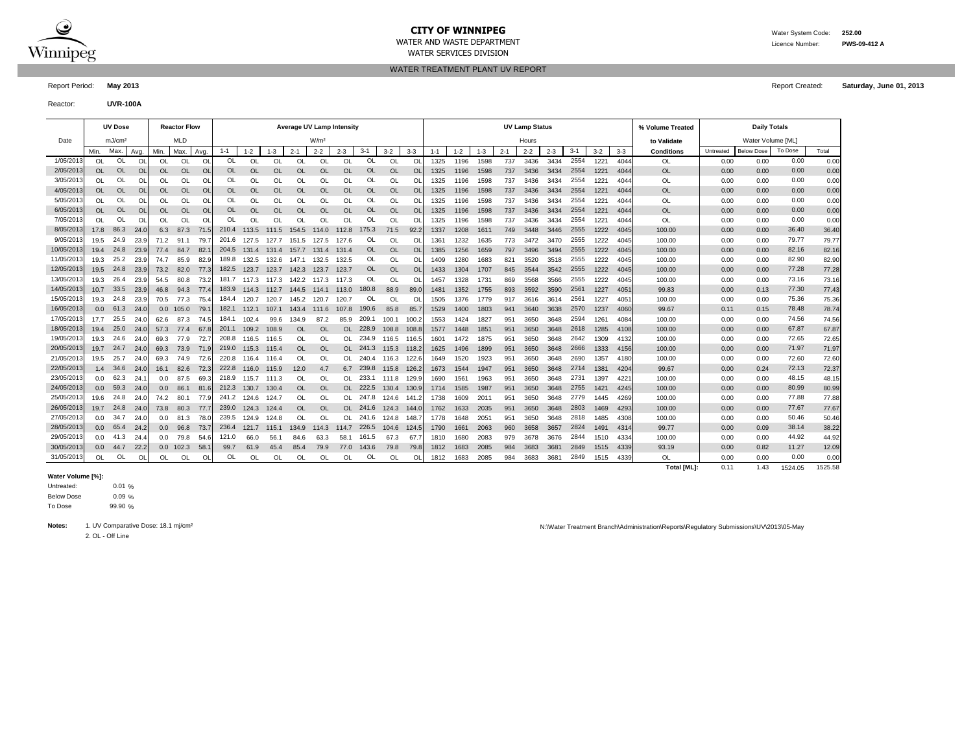

### **CITY OF WINNIPEG** WATER MATER WATER System Code: 252.00 WATER AND WASTE DEPARTMENT Licence Number: **PWS-09-412 A**

WATER SERVICES DIVISION

WATER TREATMENT PLANT UV REPORT

Report Period: **May 2013** Report Created: **Saturday, June 01, 2013**

Reactor: **UVR-100A**

|            |           | <b>UV Dose</b>     |           |                  | <b>Reactor Flow</b> |                |           |               |           | <b>Average UV Lamp Intensity</b> |                  |               |           |             |           |         |         |         |         | <b>UV Lamp Status</b> |         |         |         |       | % Volume Treated  |           | <b>Daily Totals</b> |         |       |
|------------|-----------|--------------------|-----------|------------------|---------------------|----------------|-----------|---------------|-----------|----------------------------------|------------------|---------------|-----------|-------------|-----------|---------|---------|---------|---------|-----------------------|---------|---------|---------|-------|-------------------|-----------|---------------------|---------|-------|
| Date       |           | mJ/cm <sup>2</sup> |           |                  | <b>MLD</b>          |                |           |               |           |                                  | W/m <sup>2</sup> |               |           |             |           |         |         |         |         | Hours                 |         |         |         |       | to Validate       |           | Water Volume [ML]   |         |       |
|            | Min.      | Max.               | Avg.      | Min.             | Max                 | Avg.           | $1 - 1$   | $1 - 2$       | $1 - 3$   | $2 - 1$                          | $2 - 2$          | $2 - 3$       | $3 - 1$   | $3-2$       | $3-3$     | $1 - 1$ | $1 - 2$ | $1 - 3$ | $2 - 1$ | $2 - 2$               | $2 - 3$ | $3 - 1$ | $3 - 2$ | $3-3$ | <b>Conditions</b> | Untreated | <b>Below Dose</b>   | To Dose | Total |
| 1/05/2013  | OL.       | <b>OL</b>          | O         | OL               | OL                  | O              | OL        | OL            | OL        | O                                | OL               | <b>OL</b>     | OL        | OL          | O         | 1325    | 1196    | 1598    | 737     | 3436                  | 3434    | 2554    | 1221    | 4044  | OL                | 0.00      | 0.00                | 0.00    | 0.00  |
| 2/05/2013  | OL        | <b>OL</b>          | $\Omega$  | OL               | OL                  | $\Omega$       | OL        | OL            | OL        | $\Omega$                         | OL               | $\Omega$      | OL        | OL          | $\Omega$  | 1325    | 1196    | 1598    | 737     | 3436                  | 3434    | 2554    | 1221    | 4044  | <b>OL</b>         | 0.00      | 0.00                | 0.00    | 0.00  |
| 3/05/2013  | OL        | OL                 | O         | OL               | OL                  | $\Omega$       | OL        | <b>OL</b>     | OL        | OL                               | OL               | <b>OL</b>     | OL        | OL          | $\Omega$  | 1325    | 1196    | 1598    | 737     | 3436                  | 3434    | 2554    | 122'    | 404   | OL                | 0.00      | 0.00                | 0.00    | 0.00  |
| 4/05/2013  | <b>OL</b> | <b>OL</b>          | O         | OL               | OL                  | O <sub>l</sub> | <b>OL</b> | <b>OL</b>     | <b>OL</b> | <b>OL</b>                        | <b>OL</b>        | OL            | OL        | <b>OL</b>   | $\Omega$  | 1325    | 1196    | 1598    | 737     | 3436                  | 3434    | 2554    | 1221    | 404   | <b>OL</b>         | 0.00      | 0.00                | 0.00    | 0.00  |
| 5/05/2013  | <b>OL</b> | OL                 | O         | OL               | OL                  | Ol             | OL        | OL            | OL        | OL                               | OL               | <b>OL</b>     | OL        | OL          | Ol        | 1325    | 1196    | 1598    | 737     | 3436                  | 3434    | 2554    | 122'    | 4044  | OL                | 0.00      | 0.00                | 0.00    | 0.00  |
| 6/05/2013  | <b>OL</b> | <b>OL</b>          | <b>OI</b> | <b>OL</b>        | <b>OL</b>           | <sup>Ol</sup>  | OL        | <b>OL</b>     | <b>OL</b> | <b>OL</b>                        | <b>OL</b>        | <b>OL</b>     | <b>OL</b> | <b>OL</b>   | <b>OL</b> | 1325    | 1196    | 1598    | 737     | 3436                  | 3434    | 2554    | 1221    | 4044  | <b>OL</b>         | 0.00      | 0.00                | 0.00    | 0.00  |
| 7/05/2013  | OL        | OL                 | O         | OL               | OL                  | O              | OL        | <sup>OL</sup> | OL        | OL                               | <sup>OL</sup>    | <b>OL</b>     | OL        | OL          | O         | 1325    | 1196    | 1598    | 737     | 3436                  | 3434    | 2554    | 1221    | 4044  | OL                | 0.00      | 0.00                | 0.00    | 0.00  |
| 8/05/2013  | 17.8      | 86.3               | 24.0      | 6.3              | 87.3                | 71.5           | 210.4     | 113.5         | 111.5     | 154.5                            | 114.0            | 112.8         | 175.3     | 71.5        | 92.2      | 1337    | 1208    | 1611    | 749     | 3448                  | 3446    | 2555    | 1222    | 4045  | 100.00            | 0.00      | 0.00                | 36.40   | 36.40 |
| 9/05/2013  | 19.5      | 24.9               | 23.9      | 71.2             | 91.1                | 79.            | 201.6     | 127.5         | 127.7     | 151.5                            | 127.5            | 127.6         | OL        | OL          | <b>Ol</b> | 1361    | 1232    | 1635    | 773     | 3472                  | 3470    | 2555    | 1222    | 4045  | 100.00            | 0.00      | 0.00                | 79.77   | 79.77 |
| 10/05/2013 | 19.4      | 24.8               | 23.9      | 77.4             | 84.7                | 82.            | 204.5     | 131.4         |           | 131.4 157.7                      | 131.4            | 131.4         | OL        | <b>OL</b>   | <b>Ol</b> | 1385    | 1256    | 1659    | 797     | 3496                  | 3494    | 2555    | 1222    | 4045  | 100.00            | 0.00      | 0.00                | 82.16   | 82.16 |
| 11/05/2013 | 19.3      | 25.2               | 23.9      | 74.7             | 85.9                | 82.9           | 189.8     | 132.5         | 132.6     | 147.1                            | 132.5            | 132.5         | OL        | OL          | Ol        | 1409    | 1280    | 1683    | 821     | 3520                  | 3518    | 2555    | 1222    | 4045  | 100.00            | 0.00      | 0.00                | 82.90   | 82.90 |
| 12/05/2013 | 19.5      | 24.8               | 23.9      | 73.2             | 82.0                | 77.3           | 182.5     | 123.7         | 123.7     | 142.3                            | 123.7            | 123.7         | <b>OL</b> | <b>OL</b>   | $\Omega$  | 1433    | 1304    | 1707    | 845     | 3544                  | 3542    | 2555    | 1222    | 4045  | 100.00            | 0.00      | 0.00                | 77.28   | 77.28 |
| 13/05/2013 | 19.3      | 26.4               | 23.9      | 54.5             | 80.8                | 73.            | 181.7     | 117.3         | 117.3     | 142.2                            | 117.3            | 117.3         | OL        | ΩI          | Ω         | 1457    | 1328    | 173'    | 869     | 3568                  | 3566    | 2555    | 1222    | 4045  | 100.00            | 0.00      | 0.00                | 73.16   | 73.16 |
| 14/05/2013 | 10.7      | 33.5               | 23.9      | 46.8             | 94.3                | 77.5           | 183.9     | 114.3         | 112.7     | 144.5                            | 114.1            | 113.0         | 180.8     | 88.9        | 89.0      | 1481    | 1352    | 1755    | 893     | 3592                  | 3590    | 2561    | 1227    | 405   | 99.83             | 0.00      | 0.13                | 77.30   | 77.43 |
| 15/05/2013 | 19.3      | 24.8               | 23.9      | 70.5             | 77.3                | 75.            | 184.4     | 120.7         | 120.7     | 145.2                            | 120.7            | 120.7         | OL        | OL          | O         | 1505    | 1376    | 1779    | 917     | 3616                  | 3614    | 2561    | 1227    | 405'  | 100.00            | 0.00      | 0.00                | 75.36   | 75.36 |
| 16/05/2013 | 0.0       | 61.3               | 24.0      | 0.0              | 105.0               | 79.            | 182.1     | 112.1         | 107.1     | 143.4                            | 111.6            | 107.8         | 190.6     | 85.8        | 85.       | 1529    | 1400    | 1803    | 941     | 3640                  | 3638    | 2570    | 1237    | 4060  | 99.67             | 0.11      | 0.15                | 78.48   | 78.74 |
| 17/05/2013 | 17.7      | 25.5               | -24.0     | 62.6             | 87.3                | 74.            | 184.1     | 102.4         | 99.6      | 134.9                            | 87.2             | 85.9          | 209.1     | 100.1       | 100.      | 1553    | 1424    | 1827    | 951     | 3650                  | 3648    | 2594    | 1261    | 4084  | 100.00            | 0.00      | 0.00                | 74.56   | 74.56 |
| 18/05/2013 | 19.4      | 25.0               | 24.0      | 57.3             | 77.4                | 67             | 201.1     | 109.2         | 108.9     | <b>OL</b>                        | <sup>OL</sup>    | OL            | 228.9     | 108.8       | 108.5     | 1577    | 1448    | 1851    | 951     | 3650                  | 3648    | 2618    | 1285    | 4108  | 100.00            | 0.00      | 0.00                | 67.87   | 67.87 |
| 19/05/2013 | 19.3      | 24.6               | 24.0      | 69.3             | 77.9                | 72.            | 208.8     | 116.5         | 116.5     | OL                               | OL               | OL            | 234.9     | 116.5       | 116.      | 1601    | 1472    | 1875    | 951     | 3650                  | 3648    | 2642    | 1309    | 4132  | 100.00            | 0.00      | 0.00                | 72.65   | 72.65 |
| 20/05/2013 | 19.7      | 24.7               | 24.0      | 69.3             | 73.9                | 71.9           | 219.0     | 115.3         | 115.4     | OL                               | <b>OL</b>        | OL            | 241.3     | 115.3 118.2 |           | 1625    | 1496    | 1899    | 951     | 3650                  | 3648    | 2666    | 1333    | 4156  | 100.00            | 0.00      | 0.00                | 71.97   | 71.97 |
| 21/05/2013 | 19.5      | 25.7               | 24.       | 69.3             | 74.9                | 72.            | 220.8     | 116.4         | 116.4     | <b>OL</b>                        | OL               |               | 240.4     | 116.3       | 122.      | 1649    | 1520    | 1923    | 951     | 3650                  | 3648    | 2690    | 1357    | 4180  | 100.00            | 0.00      | 0.00                | 72.60   | 72.60 |
| 22/05/2013 | 1.4       | 34.6               | 24.0      | 16.1             | 82.6                | 72.            | 222.8     | 116.0         | 115.9     | 12.0                             | 4.7              |               | 239.8     | 115.8       | 126.3     | 1673    | 1544    | 1947    | 951     | 3650                  | 3648    | 2714    | 1381    | 4204  | 99.67             | 0.00      | 0.24                | 72.13   | 72.37 |
| 23/05/2013 | 0.0       | 62.3               | 24.       | 0.0              | 87.5                | 69.            | 218.9     | 115.7         | 111.3     | OL                               | OL               |               | 233.1     | 111.8       | 129.9     | 1690    | 1561    | 1963    | 95'     | 3650                  | 3648    | 2731    | 1397    | 4221  | 100.00            | 0.00      | 0.00                | 48.15   | 48.15 |
| 24/05/2013 | 0.0       | 59.3               | 24.0      | 0.0 <sub>1</sub> | 86.1                | 81.6           | 212.3     | 130.7         | 130.4     | OL                               | <b>OL</b>        | OL            | 222.5     | 130.4       | 130.9     | 1714    | 1585    | 1987    | 951     | 3650                  | 3648    | 2755    | 1421    | 4245  | 100.00            | 0.00      | 0.00                | 80.99   | 80.99 |
| 25/05/2013 | 19.6      | 24.8               | 24.0      | 74.2             | 80.1                | 77.9           | 241.2     | 124.6         | 124.7     | OL                               | OL               |               | 247.8     | 124.6       | 141.      | 1738    | 1609    | 201     | 951     | 3650                  | 3648    | 2779    | 1445    | 4269  | 100.00            | 0.00      | 0.00                | 77.88   | 77.88 |
| 26/05/2013 | 19.7      | 24.8               | 24.0      | 73.8             | 80.3                | 77.7           | 239.0     | 124.3         | 124.4     | OL                               | <b>OL</b>        | OL            | 241.6     | 124.3 144.  |           | 1762    | 1633    | 2035    | 951     | 3650                  | 3648    | 2803    | 1469    | 4293  | 100.00            | 0.00      | 0.00                | 77.67   | 77.67 |
| 27/05/2013 | 0.0       | 34.7               | 24.0      | 0.0              | 81.3                | 78.C           | 239.5     | 124.9         | 124.8     | OL                               | OL               | <sub>OL</sub> | 241.6     | 124.8       | 148.      | 1778    | 1648    | 2051    | 951     | 3650                  | 3648    | 2818    | 1485    | 4308  | 100.00            | 0.00      | 0.00                | 50.46   | 50.46 |
| 28/05/2013 | 0.0       | 65.4               | 24.2      | 0.0              | 96.8                | 73.            | 236.4     | 121.7         | 115.1     | 134.9                            | 114.3            | 114.7         | 226.5     | 104.6       | 124.      | 1790    | 1661    | 2063    | 960     | 3658                  | 3657    | 2824    | 1491    | 431   | 99.77             | 0.00      | 0.09                | 38.14   | 38.22 |
| 29/05/2013 | 0.0       | 41.3               | 24.       | 0.0              | 79.8                | 54.6           | 121.0     | 66.0          | 56.1      | 84.6                             | 63.3             | 58.1          | 161.5     | 67.3        | 67.       | 1810    | 1680    | 2083    | 979     | 3678                  | 3676    | 2844    | 1510    | 4334  | 100.00            | 0.00      | 0.00                | 44.92   | 44.92 |
| 30/05/2013 | 0.0       | 44.7               | 22.2      | 0.0              | 102.3               | 58.            | 99.7      | 61.9          | 45.4      | 85.4                             | 79.9             | 77.0          | 143.6     | 79.8        | 79.8      | 1812    | 1683    | 2085    | 984     | 3683                  | 3681    | 2849    | 1515    | 4339  | 93.19             | 0.00      | 0.82                | 11.27   | 12.09 |
| 31/05/2013 | <b>OL</b> | OL                 | $\Omega$  | OL               | OL                  | $\Omega$       | OL        | OL            | OL        | <b>OL</b>                        | OL               | OL            | 0L        | OL          | Ol        | 1812    | 1683    | 2085    | 984     | 3683                  | 3681    | 2849    | 1515    | 4339  | OL                | 0.00      | 0.00                | 0.00    | 0.00  |

#### **Water Volume [%]:**

0.01 % 0.09 % 99.90 % Untreated: Below Dose To Dose

2. OL - Off Line

Notes: 1. UV Comparative Dose: 18.1 mj/cm<sup>2</sup> https://www.chargent.com/chargent Descriptions/Reports/Regulatory Submissions\UV\2013\05-May

Total [ML]: 0.11 1.43 1524.05 1525.58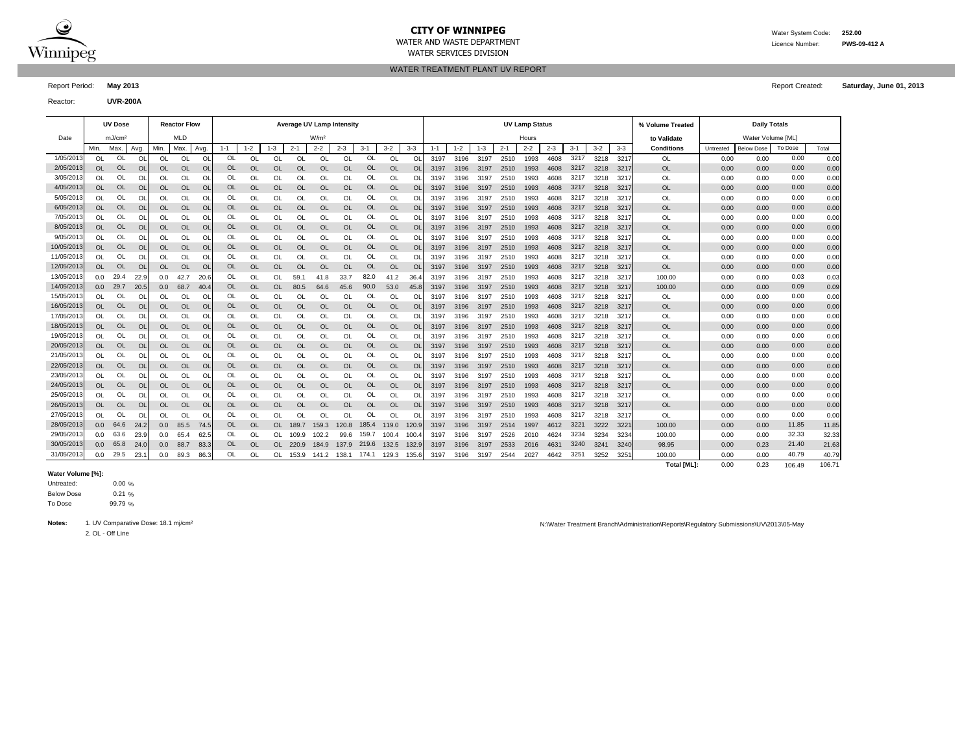

WATER SERVICES DIVISION

WATER AND WASTE DEPARTMENT Licence Number: **PWS-09-412 A**

WATER TREATMENT PLANT UV REPORT

Report Period: **May 2013** Report Created: **Saturday, June 01, 2013**

Reactor: **UVR-200A**

|            |                  | <b>UV Dose</b>     |                |                  | <b>Reactor Flow</b> |                |           |           |           | <b>Average UV Lamp Intensity</b> |                  |           |           |           |               |         |         |         |         | <b>UV Lamp Status</b> |         |         |         |         | % Volume Treated  |           | <b>Daily Totals</b> |         |        |
|------------|------------------|--------------------|----------------|------------------|---------------------|----------------|-----------|-----------|-----------|----------------------------------|------------------|-----------|-----------|-----------|---------------|---------|---------|---------|---------|-----------------------|---------|---------|---------|---------|-------------------|-----------|---------------------|---------|--------|
| Date       |                  | mJ/cm <sup>2</sup> |                |                  | <b>MLD</b>          |                |           |           |           |                                  | W/m <sup>2</sup> |           |           |           |               |         |         |         |         | Hours                 |         |         |         |         | to Validate       |           | Water Volume [ML]   |         |        |
|            | Min.             | Max.               | Avg.           | Min.             | Max.                | Avg.           | $1 - 1$   | $1 - 2$   | $1 - 3$   | $2 - 1$                          | $2 - 2$          | $2 - 3$   | $3 - 1$   | $3 - 2$   | $3 - 3$       | $1 - 1$ | $1 - 2$ | $1 - 3$ | $2 - 1$ | $2 - 2$               | $2 - 3$ | $3 - 1$ | $3 - 2$ | $3 - 3$ | <b>Conditions</b> | Untreated | <b>Below Dose</b>   | To Dose | Total  |
| 1/05/2013  | <b>OL</b>        | OL                 | OL             | <b>OL</b>        | <b>OL</b>           | <b>Ol</b>      | OL        | OL        | <b>OL</b> | <b>OL</b>                        | <b>OL</b>        | <b>OL</b> | OL        | OL        | OL            | 3197    | 3196    | 3197    | 2510    | 1993                  | 4608    | 3217    | 3218    | 321'    | OL                | 0.00      | 0.00                | 0.00    | 0.00   |
| 2/05/2013  | <b>OL</b>        | <b>OL</b>          | O <sub>l</sub> | <b>OL</b>        | <b>OL</b>           | O              | <b>OL</b> | <b>OL</b> | <b>OL</b> | <b>OL</b>                        | <b>OL</b>        | <b>OL</b> | OL        | <b>OL</b> | $\Omega$      | 3197    | 3196    | 3197    | 2510    | 1993                  | 4608    | 3217    | 3218    | 3217    | <b>OL</b>         | 0.00      | 0.00                | 0.00    | 0.00   |
| 3/05/2013  | <b>OL</b>        | OL                 | O              | OL               | OL                  | O              | OL        | OL        | OL        | OL                               | OL               | OL        | OL        | OL        | OL            | 3197    | 3196    | 3197    | 2510    | 1993                  | 4608    | 3217    | 3218    | 321'    | OL                | 0.00      | 0.00                | 0.00    | 0.00   |
| 4/05/201   | <b>OL</b>        | OL                 | O <sub>l</sub> | <b>OL</b>        | <b>OL</b>           | O              | OL        | <b>OL</b> | <b>OL</b> | <b>OL</b>                        | <b>OL</b>        | <b>OL</b> | OL        | <b>OL</b> | OL            | 3197    | 3196    | 3197    | 2510    | 1993                  | 4608    | 3217    | 3218    | 3217    | <b>OL</b>         | 0.00      | 0.00                | 0.00    | 0.00   |
| 5/05/2013  | <b>OL</b>        | OL                 | O              | OL               | OL                  | O              | OL        | OL        | OL        | OL                               | OL               | OL        | OL        | OL        | OL            | 3197    | 3196    | 3197    | 2510    | 1993                  | 4608    | 3217    | 3218    | 321'    | OL                | 0.00      | 0.00                | 0.00    | 0.00   |
| 6/05/2013  | <b>OL</b>        | <b>OL</b>          | O <sub>l</sub> | <b>OL</b>        | <b>OL</b>           | O              | OL        | <b>OL</b> | <b>OL</b> | <b>OL</b>                        | <b>OL</b>        | <b>OL</b> | OL        | <b>OL</b> | $\Omega$      | 3197    | 3196    | 3197    | 2510    | 1993                  | 4608    | 3217    | 3218    | 3217    | <b>OL</b>         | 0.00      | 0.00                | 0.00    | 0.00   |
| 7/05/201   | OL               | OL                 | Ω              | OL               | OL                  | O              | OL        | OL        | OL        | OL                               | OL               | OL        | Ol        | OL        |               | 3197    | 3196    | 3197    | 2510    | 1993                  | 4608    | 3217    | 3218    | 321     | OL                | 0.00      | 0.00                | 0.00    | 0.00   |
| 8/05/2013  | <b>OL</b>        | <b>OL</b>          | O <sub>l</sub> | OL               | <b>OL</b>           | O              | OL        | <b>OL</b> | <b>OL</b> | <b>OL</b>                        | <b>OL</b>        | <b>OL</b> | OL        | <b>OL</b> | <b>OL</b>     | 3197    | 3196    | 3197    | 2510    | 1993                  | 4608    | 3217    | 3218    | 3217    | <b>OL</b>         | 0.00      | 0.00                | 0.00    | 0.00   |
| 9/05/201   | OL               | OL                 | O              | OL               | OL                  | O              | OL        | OL        | OL        | OL                               | OL               | OL        | OL        | OL        | O             | 3197    | 3196    | 3197    | 2510    | 1993                  | 4608    | 3217    | 3218    | 321'    | OL                | 0.00      | 0.00                | 0.00    | 0.00   |
| 10/05/2013 | <b>OL</b>        | OL                 | O <sub>l</sub> | OL               | <b>OL</b>           | $\circ$        | OL        | <b>OL</b> | <b>OL</b> | <b>OL</b>                        | <b>OL</b>        | <b>OL</b> | OL        | <b>OL</b> | <b>OL</b>     | 3197    | 3196    | 3197    | 2510    | 1993                  | 4608    | 3217    | 3218    | 3217    | <b>OL</b>         | 0.00      | 0.00                | 0.00    | 0.00   |
| 11/05/2013 | <b>OL</b>        | OL                 | OL             | OL               | OL                  | O              | OL        | OL        | OL        | OL                               | OL               | OL        | OL        | OL        | OL            | 3197    | 3196    | 3197    | 2510    | 1993                  | 4608    | 3217    | 3218    | 321     | OL                | 0.00      | 0.00                | 0.00    | 0.00   |
| 12/05/2013 | <b>OL</b>        | OL                 | <b>OL</b>      | <b>OL</b>        | <b>OL</b>           | O              | OL        | <b>OL</b> | <b>OL</b> | <b>OL</b>                        | <b>OL</b>        | <b>OL</b> | OL        | <b>OL</b> | <sup>OL</sup> | 3197    | 3196    | 3197    | 2510    | 1993                  | 4608    | 3217    | 3218    | 3217    | <b>OL</b>         | 0.00      | 0.00                | 0.00    | 0.00   |
| 13/05/2013 | 0.0              | 29.4               | 22.9           | 0.0              | 42.7                | 20.6           | OL        | OL        | OL        | 59.1                             | 41.8             | 33.7      | 82.0      | 41.2      | 36.4          | 3197    | 3196    | 3197    | 2510    | 1993                  | 4608    | 3217    | 3218    | 3217    | 100.00            | 0.00      | 0.00                | 0.03    | 0.03   |
| 14/05/2013 | 0.0              | 29.7               | 20.5           | 0.0              | 68.7                | 40.4           | OL        | <b>OL</b> | OL.       | 80.5                             | 64.6             | 45.6      | 90.0      | 53.0      | 45.8          | 3197    | 3196    | 3197    | 2510    | 1993                  | 4608    | 3217    | 3218    | 3217    | 100.00            | 0.00      | 0.00                | 0.09    | 0.09   |
| 15/05/2013 | <b>OL</b>        | OL                 | O              | OL               | OL                  | O              | OL        | OL        | OL        | OL                               | OL               | OL        | OL        | OL        | O             | 3197    | 3196    | 3197    | 2510    | 1993                  | 4608    | 3217    | 3218    | 321'    | OL                | 0.00      | 0.00                | 0.00    | 0.00   |
| 16/05/2013 | <b>OL</b>        | <b>OL</b>          | <b>OI</b>      | <b>OL</b>        | <b>OL</b>           | O              | <b>OL</b> | <b>OL</b> | <b>OL</b> | <b>OL</b>                        | OL               | <b>OL</b> | <b>OL</b> | <b>OL</b> | <b>OL</b>     | 3197    | 3196    | 3197    | 2510    | 1993                  | 4608    | 3217    | 3218    | 3217    | <b>OL</b>         | 0.00      | 0.00                | 0.00    | 0.00   |
| 17/05/2013 | <b>OL</b>        | OL                 | <b>OI</b>      | OL               | OL                  | O              | OL        | OL        | OL        | OL                               | OL               | OL        | OL        | OL        | OL            | 3197    | 3196    | 3197    | 2510    | 1993                  | 4608    | 3217    | 3218    | 321'    | OL                | 0.00      | 0.00                | 0.00    | 0.00   |
| 18/05/2013 | <b>OL</b>        | OL                 | <b>OI</b>      | OL               | OL                  | O              | <b>OL</b> | <b>OL</b> | <b>OL</b> | OL                               | <b>OL</b>        | <b>OL</b> | OL        | <b>OL</b> | $\Omega$      | 3197    | 3196    | 3197    | 2510    | 1993                  | 4608    | 3217    | 3218    | 3217    | OL                | 0.00      | 0.00                | 0.00    | 0.00   |
| 19/05/2013 | <b>OL</b>        | OL                 | <b>OI</b>      | OL               | OL                  | O              | OL        | <b>OL</b> | OL        | OL                               | <b>OL</b>        | OL        | OL        | OL        | OL            | 3197    | 3196    | 3197    | 2510    | 1993                  | 4608    | 3217    | 3218    | 321'    | <b>OL</b>         | 0.00      | 0.00                | 0.00    | 0.00   |
| 20/05/2013 | <b>OL</b>        | <b>OL</b>          | <b>OI</b>      | OL               | OL                  | O              | <b>OL</b> | OL        | <b>OL</b> | <b>OL</b>                        | <b>OL</b>        | <b>OL</b> | OL        | <b>OL</b> | $\Omega$      | 3197    | 3196    | 3197    | 2510    | 1993                  | 4608    | 3217    | 3218    | 321'    | <b>OL</b>         | 0.00      | 0.00                | 0.00    | 0.00   |
| 21/05/2013 | OL               | OL                 | <b>OI</b>      | OL               | OL                  | O              | OL        | OL        | OL        | OL                               | <b>OL</b>        | OL        | Ol        | OL        | OL            | 3197    | 3196    | 3197    | 2510    | 1993                  | 4608    | 3217    | 3218    | 321'    | OL                | 0.00      | 0.00                | 0.00    | 0.00   |
| 22/05/2013 | <b>OL</b>        | <b>OL</b>          | O <sub>l</sub> | OL               | <b>OL</b>           | O <sub>l</sub> | <b>OL</b> | <b>OL</b> | <b>OL</b> | <b>OL</b>                        | <b>OL</b>        | <b>OL</b> | OL        | <b>OL</b> | $\Omega$      | 3197    | 3196    | 3197    | 2510    | 1993                  | 4608    | 3217    | 3218    | 3217    | <b>OL</b>         | 0.00      | 0.00                | 0.00    | 0.00   |
| 23/05/201  | OL               | <b>OL</b>          | <b>OI</b>      | OL               | OL                  | O              | OL        | OL        | OL        | OL                               | <b>OL</b>        | OL        | OL        | OL        | $\Omega$      | 3197    | 3196    | 3197    | 2510    | 1993                  | 4608    | 3217    | 3218    | 321'    | OL                | 0.00      | 0.00                | 0.00    | 0.00   |
| 24/05/2013 | <b>OL</b>        | <b>OL</b>          | O <sub>l</sub> | OL               | <b>OL</b>           | $\circ$        | <b>OL</b> | <b>OL</b> | OL        | <b>OL</b>                        | <b>OL</b>        | <b>OL</b> | OL        | <b>OL</b> | <b>OL</b>     | 3197    | 3196    | 3197    | 2510    | 1993                  | 4608    | 3217    | 3218    | 321'    | <b>OL</b>         | 0.00      | 0.00                | 0.00    | 0.00   |
| 25/05/2013 | <b>OL</b>        | <b>Ol</b>          | <b>OI</b>      | OL               | OL                  | O              | OL        | OL        | OL        | <b>OL</b>                        | OL               | OL        | OL        | OL        | O             | 3197    | 3196    | 3197    | 2510    | 1993                  | 4608    | 3217    | 3218    | 321'    | <b>OL</b>         | 0.00      | 0.00                | 0.00    | 0.00   |
| 26/05/2013 | <b>OL</b>        | OL                 | $\overline{O}$ | OL               | OL                  | $\circ$        | OL        | <b>OL</b> | OL        | <b>OL</b>                        | <b>OL</b>        | <b>OL</b> | OL        | <b>OL</b> | <b>OL</b>     | 3197    | 3196    | 3197    | 2510    | 1993                  | 4608    | 3217    | 3218    | 3217    | <b>OL</b>         | 0.00      | 0.00                | 0.00    | 0.00   |
| 27/05/2013 | OL               | <b>OL</b>          | O              | OL               | OL                  | O              | OL        | OL        | OL        | OL                               | OL               | OL        | OL        | OL        | ΩI            | 3197    | 3196    | 3197    | 2510    | 1993                  | 4608    | 3217    | 3218    | 321'    | OL                | 0.00      | 0.00                | 0.00    | 0.00   |
| 28/05/2013 | 0.0 <sub>1</sub> | 64.6               | 24.2           | 0.0              | 85.5                | 74.5           | OL        | <b>OL</b> | <b>OL</b> | 189.7                            | 159.3            | 120.8     | 185.4     | 119.0     | 120.9         | 3197    | 3196    | 3197    | 2514    | 1997                  | 4612    | 3221    | 3222    | 3221    | 100.00            | 0.00      | 0.00                | 11.85   | 11.85  |
| 29/05/2013 | 0.0              | 63.6               | 23.9           | 0.0              | 65.4                | 62.5           | OL        | OL        | OL        | 109.9                            | 102.2            | 99.6      | 159.7     | 100.4     | 100.4         | 3197    | 3196    | 3197    | 2526    | 2010                  | 4624    | 3234    | 3234    | 3234    | 100.00            | 0.00      | 0.00                | 32.33   | 32.33  |
| 30/05/2013 | 0.0 <sub>1</sub> | 65.8               | 24.0           | 0.0 <sub>1</sub> | 88.7                | 83.3           | OL        | <b>OL</b> | OL.       | 220.9                            | 184.9            | 137.9     | 219.6     | 132.5     | 132.9         | 3197    | 3196    | 3197    | 2533    | 2016                  | 4631    | 3240    | 3241    | 3240    | 98.95             | 0.00      | 0.23                | 21.40   | 21.63  |
| 31/05/2013 | 0.0              | 29.5               | 23.            | 0.0              | 89.3                | 86.            | OL        | OL        | OL        | 153.9                            | 141.2            | 138.1     | 174.1     | 129.3     | 135.6         | 3197    | 3196    | 3197    | 2544    | 2027                  | 4642    | 3251    | 3252    | 3251    | 100.00            | 0.00      | 0.00                | 40.79   | 40.79  |
|            |                  |                    |                |                  |                     |                |           |           |           |                                  |                  |           |           |           |               |         |         |         |         |                       |         |         |         |         | Total [ML]:       | 0.00      | 0.23                | 106.49  | 106.71 |

### **Water Volume [%]:**

0.00 %  $0.21%$ 99.79 % Untreated: Below Dose To Dose

2. OL - Off Line

Notes: 1. UV Comparative Dose: 18.1 mj/cm<sup>2</sup> notes: 18.1 mj/cm<sup>2</sup> notes: 18.1 mj/cm<sup>2</sup> notes: 18.1 mj/cm<sup>2</sup> notes: 18.1 mj/cm<sup>2</sup> notes: 18.1 mj/cm<sup>2</sup> notes: 18.1 mj/cm<sup>2</sup> notes: 18.1 mj/cm<sup>2</sup> notes: 18.1 mj/cm<sup>2</sup> notes: 18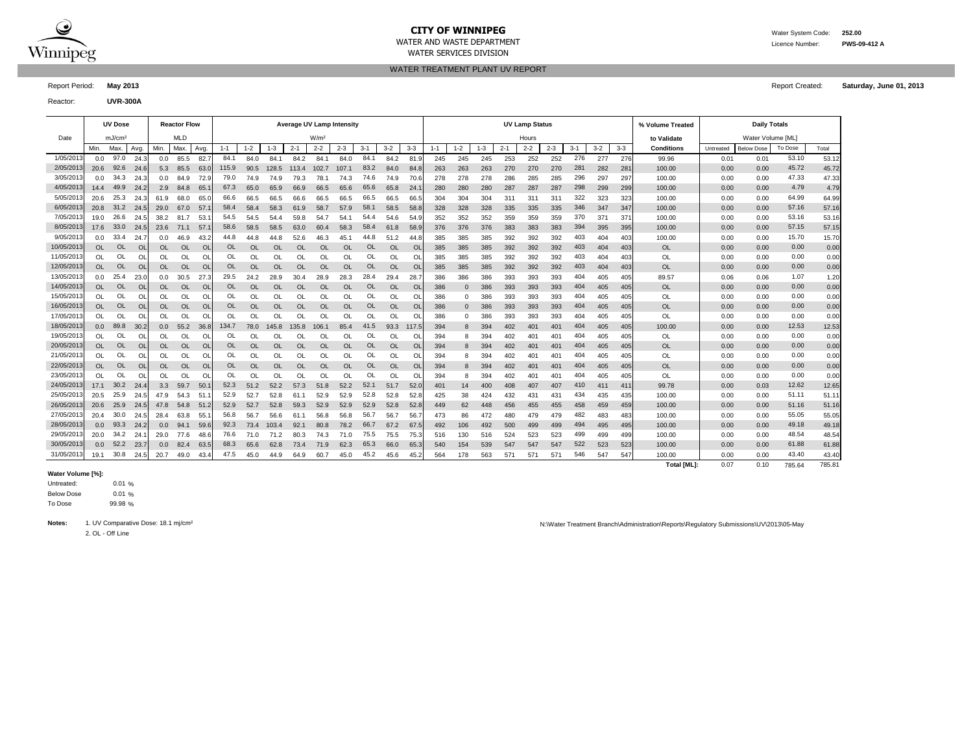

l,

## **CITY OF WINNIPEG** WATER MATER WATER System Code: 252.00

WATER SERVICES DIVISION

WATER AND WASTE DEPARTMENT Licence Number: **PWS-09-412 A**

### WATER TREATMENT PLANT UV REPORT

Report Period: **May 2013** Report Created: **Saturday, June 01, 2013**

Reactor: **UVR-300A**

|            |                  | <b>UV Dose</b>     |           |               | <b>Reactor Flow</b> |           |           |           |           | <b>Average UV Lamp Intensity</b> |                  |           |           |           |           |         |             |         |         | <b>UV Lamp Status</b> |         |         |         |                 | % Volume Treated   |           | <b>Daily Totals</b> |         |        |
|------------|------------------|--------------------|-----------|---------------|---------------------|-----------|-----------|-----------|-----------|----------------------------------|------------------|-----------|-----------|-----------|-----------|---------|-------------|---------|---------|-----------------------|---------|---------|---------|-----------------|--------------------|-----------|---------------------|---------|--------|
| Date       |                  | mJ/cm <sup>2</sup> |           |               | <b>MLD</b>          |           |           |           |           |                                  | W/m <sup>2</sup> |           |           |           |           |         |             |         |         | Hours                 |         |         |         |                 | to Validate        |           | Water Volume [ML]   |         |        |
|            | Min.             | Max.               | Avg.      | Min.          | Max                 | Avg       | $1 - 1$   | $1 - 2$   | $1 - 3$   | $2 - 1$                          | $2 - 2$          | $2 - 3$   | $3 - 1$   | $3 - 2$   | $3 - 3$   | $1 - 1$ | $1 - 2$     | $1 - 3$ | $2 - 1$ | $2 - 2$               | $2 - 3$ | $3 - 1$ | $3 - 2$ | $3 - 3$         | Conditions         | Untreated | <b>Below Dose</b>   | To Dose | Total  |
| 1/05/2013  | 0.0              | 97.0               | 24.3      | 0.0           | 85.5                | 82.7      | 84.1      | 84.0      | 84.1      | 84.2                             | 84.1             | 84.0      | 84.1      | 84.2      | 81.9      | 245     | 245         | 245     | 253     | 252                   | 252     | 276     | 277     | 276             | 99.96              | 0.01      | 0.01                | 53.10   | 53.12  |
| 2/05/2013  | 20.6             | 92.6               | -24.6     | 5.3           | 85.5                | 63.0      | 115.9     | 90.5      | 128.5     | 113.4                            | 102.7            | 107.1     | 83.2      | 84.0      | 84.8      | 263     | 263         | 263     | 270     | 270                   | 270     | 281     | 282     | 28 <sup>′</sup> | 100.00             | 0.00      | 0.00                | 45.72   | 45.72  |
| 3/05/2013  | 0.0              | 34.3               | 24.3      | 0.0           | 84.9                | 72.9      | 79.0      | 74.9      | 74.9      | 79.3                             | 78.1             | 74.3      | 74.6      | 74.9      | 70.6      | 278     | 278         | 278     | 286     | 285                   | 285     | 296     | 297     | 297             | 100.00             | 0.00      | 0.00                | 47.33   | 47.33  |
| 4/05/2013  | 14.4             | 49.9               | 24.2      | 2.9           | 84.8                | 65.1      | 67.3      | 65.0      | 65.9      | 66.9                             | 66.5             | 65.6      | 65.6      | 65.8      | 24.       | 280     | 280         | 280     | 287     | 287                   | 287     | 298     | 299     | 299             | 100.00             | 0.00      | 0.00                | 4.79    | 4.79   |
| 5/05/2013  | 20.6             | 25.3               | 24.3      | 61.9          | 68.0                | 65.0      | 66.6      | 66.5      | 66.5      | 66.6                             | 66.5             | 66.5      | 66.5      | 66.5      | 66.5      | 304     | 304         | 304     | 311     | 311                   | 311     | 322     | 323     | 323             | 100.00             | 0.00      | 0.00                | 64.99   | 64.99  |
| 6/05/2013  | 20.8             | 31.2               | 24.5      | 29.0          | 67.0                | 57.       | 58.4      | 58.4      | 58.3      | 61.9                             | 58.7             | 57.9      | 58.1      | 58.5      | 58.8      | 328     | 328         | 328     | 335     | 335                   | 335     | 346     | 347     | 347             | 100.00             | 0.00      | 0.00                | 57.16   | 57.16  |
| 7/05/2013  | 19.0             | 26.6               | 24.5      | 38.2          | 81.7                | 53.       | 54.5      | 54.5      | 54.4      | 59.8                             | 54.7             | 54.1      | 54.4      | 54.6      | 54.9      | 352     | 352         | 352     | 359     | 359                   | 359     | 370     | 371     | 37'             | 100.00             | 0.00      | 0.00                | 53.16   | 53.16  |
| 8/05/2013  | 17.6             | 33.0               | 24.5      | 23.6          | 71.1                | 57.       | 58.6      | 58.5      | 58.5      | 63.0                             | 60.4             | 58.3      | 58.4      | 61.8      | 58.9      | 376     | 376         | 376     | 383     | 383                   | 383     | 394     | 395     | 395             | 100.00             | 0.00      | 0.00                | 57.15   | 57.15  |
| 9/05/2013  | 0.0              | 33.4               | 24.       | 0.0           | 46.9                | 43.2      | 44.8      | 44.8      | 44.8      | 52.6                             | 46.3             | 45.1      | 44.8      | 51.2      | 44.8      | 385     | 385         | 385     | 392     | 392                   | 392     | 403     | 404     | 403             | 100.00             | 0.00      | 0.00                | 15.70   | 15.70  |
| 10/05/2013 | <b>OL</b>        | <b>OL</b>          | <b>OL</b> | OL            | OL                  | <b>OL</b> | OL        | <b>OL</b> | <b>OL</b> | <b>OL</b>                        | <b>OL</b>        | <b>OL</b> | <b>OL</b> | OL        | OL        | 385     | 385         | 385     | 392     | 392                   | 392     | 403     | 404     | 403             | OL                 | 0.00      | 0.00                | 0.00    | 0.00   |
| 11/05/2013 | <b>OL</b>        | <b>OL</b>          | OL        | <sup>OL</sup> | OL                  | <b>OL</b> | OL        | $\Omega$  | OL        | OL                               | <sup>OL</sup>    | OL        | OL        | OL        | <b>Ol</b> | 385     | 385         | 385     | 392     | 392                   | 392     | 403     | 404     | 403             | OL                 | 0.00      | 0.00                | 0.00    | 0.00   |
| 12/05/2013 | <b>OL</b>        | <b>OL</b>          | OL        | OL.           | <b>OL</b>           | <b>OL</b> | <b>OL</b> | OL        | <b>OL</b> | <b>OL</b>                        | OL               | $\Omega$  | OL        | <b>OL</b> | $\Omega$  | 385     | 385         | 385     | 392     | 392                   | 392     | 403     | 404     | 403             | <b>OL</b>          | 0.00      | 0.00                | 0.00    | 0.00   |
| 13/05/2013 | 0.0              | 25.4               | 23.0      | 0.0           | 30.5                | 27.3      | 29.5      | 24.2      | 28.9      | 30.4                             | 28.9             | 28.3      | 28.4      | 29.4      | 28.7      | 386     | 386         | 386     | 393     | 393                   | 393     | 404     | 405     | 405             | 89.57              | 0.06      | 0.06                | 1.07    | 1.20   |
| 14/05/2013 | <b>OL</b>        | OL                 | <b>OL</b> | OL            | <b>OL</b>           | <b>OL</b> | OL        | <b>OL</b> | <b>OL</b> | <b>OL</b>                        | <b>OL</b>        | <b>OL</b> | OL        | <b>OL</b> | <b>Ol</b> | 386     | $\mathbf 0$ | 386     | 393     | 393                   | 393     | 404     | 405     | 405             | <b>OL</b>          | 0.00      | 0.00                | 0.00    | 0.00   |
| 15/05/2013 | <b>OL</b>        | OL                 | OL        | OL            | OL                  | <b>OL</b> | OL        | OL        | OL        | OL                               | OL               | OL        | OL        | OL        | <b>Ol</b> | 386     | $\Omega$    | 386     | 393     | 393                   | 393     | 404     | 405     | 405             | OL                 | 0.00      | 0.00                | 0.00    | 0.00   |
| 16/05/2013 | <b>OL</b>        | <b>OL</b>          | <b>OL</b> | <b>OL</b>     | <b>OL</b>           | <b>OL</b> | OL        | <b>OL</b> | <b>OL</b> | <b>OL</b>                        | <b>OL</b>        | <b>OL</b> | OL        | <b>OL</b> | OL        | 386     | $\mathbf 0$ | 386     | 393     | 393                   | 393     | 404     | 405     | 405             | <b>OL</b>          | 0.00      | 0.00                | 0.00    | 0.00   |
| 17/05/2013 | $\Omega$         | OL                 | OL        | OL.           | OL                  | O         | OL        | <b>OL</b> | OL.       | OL                               | <sup>OL</sup>    | OL.       | OL        | <b>OL</b> | OL        | 386     | $\Omega$    | 386     | 393     | 393                   | 393     | 404     | 405     | 405             | OL                 | 0.00      | 0.00                | 0.00    | 0.00   |
| 18/05/2013 | 0.0 <sub>1</sub> | 89.8               | 30.2      | 0.0           | 55.2                | 36.8      | 134.7     | 78.0      | 145.8     | 135.8                            | 106.1            | 85.4      | 41.5      | 93.3      | 117.5     | 394     | 8           | 394     | 402     | 401                   | 401     | 404     | 405     | 405             | 100.00             | 0.00      | 0.00                | 12.53   | 12.53  |
| 19/05/2013 | OL.              | OL                 | OL        | OL            | OL                  | O         | OL        | OL        | OL        | <b>OL</b>                        | OL               | OL        | OL        | OL        | O         | 394     | 8           | 394     | 402     | 401                   | 401     | 404     | 405     | 405             | OL                 | 0.00      | 0.00                | 0.00    | 0.00   |
| 20/05/2013 | <b>OL</b>        | <b>OL</b>          | <b>OL</b> | <b>OL</b>     | OL                  | <b>OL</b> | <b>OL</b> | <b>OL</b> | <b>OL</b> | <b>OL</b>                        | <b>OL</b>        | <b>OL</b> | <b>OL</b> | OL        | OL        | 394     | 8           | 394     | 402     | 401                   | 401     | 404     | 405     | 405             | <b>OL</b>          | 0.00      | 0.00                | 0.00    | 0.00   |
| 21/05/2013 | OL.              | OL                 | OL        | OL            | OL                  | <b>OL</b> | OL        | OL        | OL        | OL                               | OL               | OL        | OL        | <b>OL</b> | OL        | 394     | 8           | 394     | 402     | 401                   | 401     | 404     | 405     | 405             | <b>OL</b>          | 0.00      | 0.00                | 0.00    | 0.00   |
| 22/05/2013 | <b>OL</b>        | <b>OL</b>          | OL        | OL            | <b>OL</b>           | <b>OL</b> | OL        | <b>OL</b> | <b>OL</b> | <b>OL</b>                        | <b>OL</b>        | <b>OL</b> | OL        | <b>OL</b> | <b>OL</b> | 394     | 8           | 394     | 402     | 401                   | 401     | 404     | 405     | 405             | OL                 | 0.00      | 0.00                | 0.00    | 0.00   |
| 23/05/2013 | <b>OL</b>        | OL                 | OL        | <sup>OL</sup> | OL                  | $\Omega$  | OL        | <b>OL</b> | <b>OL</b> | OL                               | $\Omega$         | OL        | OL        | <b>OL</b> | O         | 394     | 8           | 394     | 402     | 401                   | 401     | 404     | 405     | 405             | <b>OL</b>          | 0.00      | 0.00                | 0.00    | 0.00   |
| 24/05/2013 | 17.1             | 30.2               | 24.4      | 3.3           | 59.7                | 50.       | 52.3      | 51.2      | 52.2      | 57.3                             | 51.8             | 52.2      | 52.1      | 51.7      | 52.1      | 401     | 14          | 400     | 408     | 407                   | 407     | 410     | 411     | 41 <sup>°</sup> | 99.78              | 0.00      | 0.03                | 12.62   | 12.65  |
| 25/05/2013 | 20.5             | 25.9               | 24.5      | 47.9          | 54.3                | 51        | 52.9      | 52.7      | 52.8      | 61.1                             | 52.9             | 52.9      | 52.8      | 52.8      | 52.8      | 425     | 38          | 424     | 432     | 431                   | 431     | 434     | 435     | 435             | 100.00             | 0.00      | 0.00                | 51.11   | 51.11  |
| 26/05/2013 | 20.6             | 25.9               | 24.5      | 47.8          | 54.8                | 51.2      | 52.9      | 52.7      | 52.8      | 59.3                             | 52.9             | 52.9      | 52.9      | 52.8      | 52.8      | 449     | 62          | 448     | 456     | 455                   | 455     | 458     | 459     | 459             | 100.00             | 0.00      | 0.00                | 51.16   | 51.16  |
| 27/05/2013 | 20.4             | 30.0               | 24.5      | 28.4          | 63.8                | 55.       | 56.8      | 56.7      | 56.6      | 61.1                             | 56.8             | 56.8      | 56.7      | 56.7      | 56.       | 473     | 86          | 472     | 480     | 479                   | 479     | 482     | 483     | 483             | 100.00             | 0.00      | 0.00                | 55.05   | 55.05  |
| 28/05/2013 | 0.0 <sub>1</sub> | 93.3               | 24.2      | 0.0           | 94.1                | 59.6      | 92.3      | 73.4      | 103.4     | 92.1                             | 80.8             | 78.2      | 66.7      | 67.2      | 67.5      | 492     | 106         | 492     | 500     | 499                   | 499     | 494     | 495     | 495             | 100.00             | 0.00      | 0.00                | 49.18   | 49.18  |
| 29/05/2013 | 20.0             | 34.2               | 24.       | 29.0          | 77.6                | 48.6      | 76.6      | 71.0      | 71.2      | 80.3                             | 74.3             | 71.0      | 75.5      | 75.5      | 75.3      | 516     | 130         | 516     | 524     | 523                   | 523     | 499     | 499     | 499             | 100.00             | 0.00      | 0.00                | 48.54   | 48.54  |
| 30/05/2013 | 0.0              | 52.2               | 23.7      | 0.0           | 82.4                | 63.5      | 68.3      | 65.6      | 62.8      | 73.4                             | 71.9             | 62.3      | 65.3      | 66.0      | 65.3      | 540     | 154         | 539     | 547     | 547                   | 547     | 522     | 523     | 523             | 100.00             | 0.00      | 0.00                | 61.88   | 61.88  |
| 31/05/2013 | 19.1             | 30.8               | 24.5      | 20.7          | 49.0                | 43.4      | 47.5      | 45.0      | 44.9      | 64.9                             | 60.7             | 45.0      | 45.2      | 45.6      | 45.2      | 564     | 178         | 563     | 57'     | 571                   | 571     | 546     | 547     | 547             | 100.00             | 0.00      | 0.00                | 43.40   | 43.40  |
|            |                  |                    |           |               |                     |           |           |           |           |                                  |                  |           |           |           |           |         |             |         |         |                       |         |         |         |                 | <b>Total IMLI:</b> | 0.07      | 0.10                | 785.64  | 785.81 |

#### **Water Volume [%]:**

0.01 %  $0.01%$ 99.98 % Untreated: Below Dose To Dose

2. OL - Off Line

Notes: 1. UV Comparative Dose: 18.1 mj/cm<sup>2</sup> notes: 18.1 mj/cm<sup>2</sup> notes: 18.1 mj/cm<sup>2</sup> notes: 18.1 mj/cm<sup>2</sup> notes: 18.1 mj/cm<sup>2</sup> notes: 18.1 mj/cm<sup>2</sup> notes: 18.1 mj/cm<sup>2</sup> notes: 18.1 mj/cm<sup>2</sup> notes: 18.1 mj/cm<sup>2</sup> notes: 18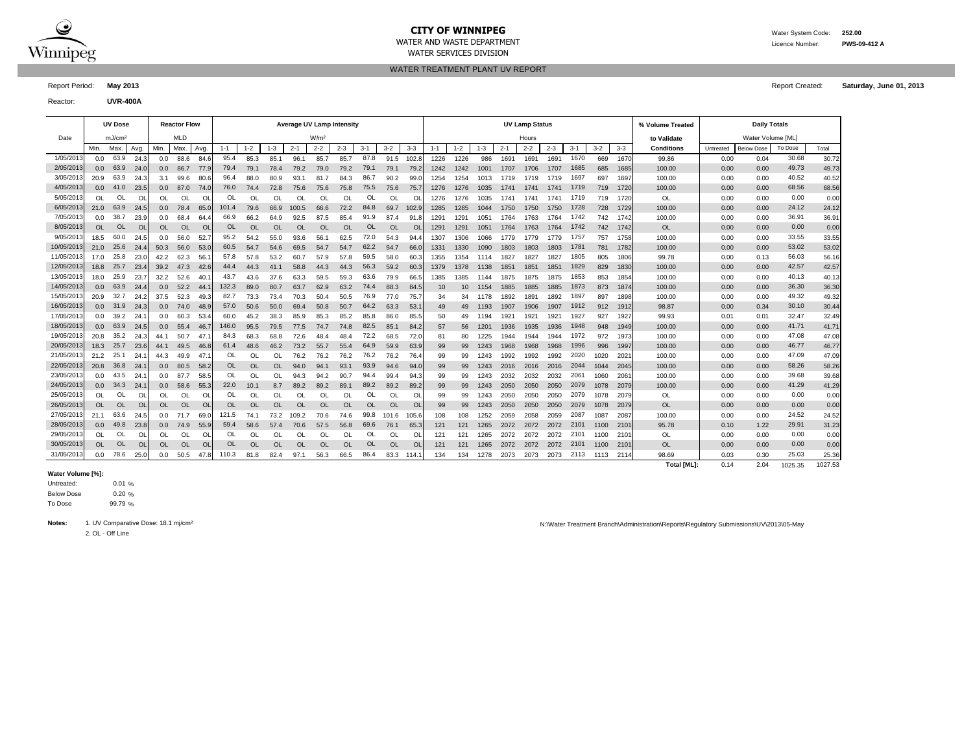

WATER SERVICES DIVISION

WATER TREATMENT PLANT UV REPORT

Report Period: **May 2013** Report Created: **Saturday, June 01, 2013**

Reactor: **UVR-400A**

|            |           | <b>UV Dose</b>     |                |                  | <b>Reactor Flow</b> |           |           |           |           | <b>Average UV Lamp Intensity</b> |                  |           |           |           |           |         |         |         |         | <b>UV Lamp Status</b> |         |         |         |         | % Volume Treated   |           | <b>Daily Totals</b> |         |         |
|------------|-----------|--------------------|----------------|------------------|---------------------|-----------|-----------|-----------|-----------|----------------------------------|------------------|-----------|-----------|-----------|-----------|---------|---------|---------|---------|-----------------------|---------|---------|---------|---------|--------------------|-----------|---------------------|---------|---------|
| Date       |           | mJ/cm <sup>2</sup> |                |                  | <b>MLD</b>          |           |           |           |           |                                  | W/m <sup>2</sup> |           |           |           |           |         |         |         |         | Hours                 |         |         |         |         | to Validate        |           | Water Volume [ML]   |         |         |
|            | Min.      | Max.               | Avg.           | Min.             | Max.                | Avg.      | $1 - 1$   | $1 - 2$   | $1 - 3$   | $2 - 1$                          | $2 - 2$          | $2 - 3$   | $3 - 1$   | $3-2$     | $3 - 3$   | $1 - 1$ | $1 - 2$ | $1 - 3$ | $2 - 1$ | $2 - 2$               | $2 - 3$ | $3 - 1$ | $3 - 2$ | $3 - 3$ | <b>Conditions</b>  | Untreated | <b>Below Dose</b>   | To Dose | Total   |
| 1/05/2013  | 0.0       | 63.9               | 24.3           | 0.0              | 88.6                | 84.6      | 95.4      | 85.3      | 85.1      | 96.1                             | 85.7             | 85.7      | 87.8      | 91.5      | 102.8     | 1226    | 1226    | 986     | 1691    | 1691                  | 1691    | 1670    | 669     | 1670    | 99.86              | 0.00      | 0.04                | 30.68   | 30.72   |
| 2/05/2013  | 0.0       | 63.9               | 24.0           | 0.0              | 86.7                | 77.9      | 79.4      | 79.1      | 78.4      | 79.2                             | 79.0             | 79.2      | 79.1      | 79.1      | 79.2      | 1242    | 1242    | 1001    | 1707    | 1706                  | 1707    | 1685    | 685     | 1685    | 100.00             | 0.00      | 0.00                | 49.73   | 49.73   |
| 3/05/201   | 20.9      | 63.9               | 24.3           | 3.1              | 99.6                | 80.       | 96.4      | 88.0      | 80.9      | 93.1                             | 81.7             | 84.3      | 86.7      | 90.2      | 99.0      | 1254    | 1254    | 1013    | 1719    | 1719                  | 1719    | 1697    | 697     | 1697    | 100.00             | 0.00      | 0.00                | 40.52   | 40.52   |
| 4/05/2013  | 0.0       | 41.0               | 23.            | 0.0              | 87.0                | 74.0      | 76.0      | 74.4      | 72.8      | 75.6                             | 75.6             | 75.8      | 75.5      | 75.6      | 75.7      | 1276    | 1276    | 1035    | 1741    | 1741                  | 1741    | 1719    | 719     | 1720    | 100.00             | 0.00      | 0.00                | 68.56   | 68.56   |
| 5/05/2013  | <b>OL</b> | Ol                 | O              | OL               | OL                  | O         | OL        | OL        | OL        | OL                               | $\Omega$         | OL        | OL        | OL        | $\Omega$  | 1276    | 1276    | 1035    | 1741    | 1741                  | 1741    | 1719    | 719     | 1720    | OL                 | 0.00      | 0.00                | 0.00    | 0.00    |
| 6/05/2013  | 21.0      | 63.9               | 24.            | 0.0 <sub>1</sub> | 78.4                | 65.       | 101.4     | 79.6      | 66.9      | 100.5                            | 66.6             | 72.2      | 84.8      | 69.7      | 102.      | 1285    | 1285    | 1044    | 1750    | 1750                  | 1750    | 1728    | 728     | 1729    | 100.00             | 0.00      | 0.00                | 24.12   | 24.12   |
| 7/05/201   | 0.0       | 38.7               | 23.9           | 0.0              | 68.4                | 64.       | 66.9      | 66.2      | 64.9      | 92.5                             | 87.5             | 85.4      | 91.9      | 87.4      | 91.       | 1291    | 1291    | 1051    | 1764    | 1763                  | 1764    | 1742    | 742     | 1742    | 100.00             | 0.00      | 0.00                | 36.91   | 36.91   |
| 8/05/2013  | OL        | <b>OL</b>          | <b>OI</b>      | OL               | <b>OL</b>           | $\Omega$  | <b>OL</b> | <b>OL</b> | <b>OL</b> | OL                               | $\Omega$         | $\Omega$  | <b>OL</b> | <b>OL</b> | $\circ$   | 1291    | 1291    | 1051    | 1764    | 1763                  | 1764    | 1742    | 742     | 1742    | OL                 | 0.00      | 0.00                | 0.00    | 0.00    |
| 9/05/201   | 18.5      | 60.0               | 24.5           | 0.0              | 56.0                | 52.       | 95.2      | 54.2      | 55.0      | 93.6                             | 56.7             | 62.5      | 72.0      | 54.3      | 94.       | 1307    | 1306    | 1066    | 1779    | 1779                  | 1779    | 1757    | 757     | 1758    | 100.00             | 0.00      | 0.00                | 33.55   | 33.55   |
| 10/05/201  | 21.0      | 25.6               | 24.4           | 50.3             | 56.0                | 53.1      | 60.5      | 54.7      | 54.6      | 69.5                             | 54.7             | 54.7      | 62.2      | 54.7      | 66.       | 1331    | 1330    | 1090    | 1803    | 1803                  | 1803    | 1781    | 781     | 1782    | 100.00             | 0.00      | 0.00                | 53.02   | 53.02   |
| 11/05/2013 | 17.0      | 25.8               | 23.0           | 42.2             | 62.3                | 56.       | 57.8      | 57.8      | 53.2      | 60.7                             | 57.9             | 57.8      | 59.5      | 58.0      | 60.3      | 1355    | 1354    | 1114    | 1827    | 1827                  | 1827    | 1805    | 805     | 1806    | 99.78              | 0.00      | 0.13                | 56.03   | 56.16   |
| 12/05/2013 | 18.8      | 25.7               | 23.4           | 39.2             | 47.3                | 42.6      | 44.4      | 44.3      | 41.1      | 58.8                             | 44.3             | 44.3      | 56.3      | 59.2      | 60.       | 1379    | 1378    | 1138    | 1851    | 1851                  | 1851    | 1829    | 829     | 1830    | 100.00             | 0.00      | 0.00                | 42.57   | 42.57   |
| 13/05/2013 | 18.0      | 25.9               | 23.7           | 32.2             | 52.6                | 40.       | 43.7      | 43.6      | 37.6      | 63.3                             | 59.5             | 59.3      | 63.6      | 79.9      | 66.5      | 1385    | 1385    | 1144    | 1875    | 1875                  | 1875    | 1853    | 853     | 1854    | 100.00             | 0.00      | 0.00                | 40.13   | 40.13   |
| 14/05/2013 | 0.0       | 63.9               | 24.4           | 0.0              | 52.2                | -44.      | 132.3     | 89.0      | 80.7      | 63.7                             | 62.9             | 63.2      | 74.4      | 88.3      | 84.5      | 10      | 10      | 1154    | 1885    | 1885                  | 1885    | 1873    | 873     | 1874    | 100.00             | 0.00      | 0.00                | 36.30   | 36.30   |
| 15/05/2013 | 20.9      | 32.7               | 24.2           | 37.5             | 52.3                | 49.3      | 82.7      | 73.3      | 73.4      | 70.3                             | 50.4             | 50.5      | 76.9      | 77.0      | 75.       | 34      | 34      | 1178    | 1892    | 1891                  | 1892    | 1897    | 897     | 1898    | 100.00             | 0.00      | 0.00                | 49.32   | 49.32   |
| 16/05/2013 | 0.0       | 31.9               | 24.3           | 0.0 <sub>1</sub> | 74.0                | 48.9      | 57.0      | 50.6      | 50.0      | 69.4                             | 50.8             | 50.7      | 64.2      | 63.3      | 53.       | 49      | 49      | 1193    | 1907    | 1906                  | 1907    | 1912    | 912     | 1912    | 98.87              | 0.00      | 0.34                | 30.10   | 30.44   |
| 17/05/2013 | 0.0       | 39.2               | 24.            | 0.0              | 60.3                | 53.4      | 60.0      | 45.2      | 38.3      | 85.9                             | 85.3             | 85.2      | 85.8      | 86.0      | 85.5      | 50      | 49      | 1194    | 1921    | 1921                  | 1921    | 1927    | 927     | 1927    | 99.93              | 0.01      | 0.01                | 32.47   | 32.49   |
| 18/05/2013 | 0.0       | 63.9               | 24.5           | 0.0              | 55.4                | 46.       | 146.0     | 95.5      | 79.5      | 77.5                             | 74.7             | 74.8      | 82.5      | 85.1      | 84.2      | 57      | 56      | 1201    | 1936    | 1935                  | 1936    | 1948    | 948     | 1949    | 100.00             | 0.00      | 0.00                | 41.71   | 41.71   |
| 19/05/201: | 20.8      | 35.2               | 24.3           | 44.1             | 50.7                | 47        | 84.3      | 68.3      | 68.8      | 72.6                             | 48.4             | 48.4      | 72.2      | 68.5      | 72.0      | 81      | 80      | 1225    | 1944    | 1944                  | 1944    | 1972    | 972     | 1973    | 100.00             | 0.00      | 0.00                | 47.08   | 47.08   |
| 20/05/2013 | 18.3      | 25.7               | 23.6           | 44.1             | 49.5                | 46.       | 61.4      | 48.6      | 46.2      | 73.2                             | 55.7             | 55.4      | 64.9      | 59.9      | 63.9      | 99      | 99      | 1243    | 1968    | 1968                  | 1968    | 1996    | 996     | 1997    | 100.00             | 0.00      | 0.00                | 46.77   | 46.77   |
| 21/05/201  | 21.2      | 25.1               | 24.            | 44.3             | 49.9                | 47        | OL        | OL        | OL        | 76.2                             | 76.2             | 76.2      | 76.2      | 76.2      | 76.       | 99      | 99      | 1243    | 1992    | 1992                  | 1992    | 2020    | 1020    | 2021    | 100.00             | 0.00      | 0.00                | 47.09   | 47.09   |
| 22/05/2013 |           | 20.8 36.8          | 24.            | 0.0 <sub>1</sub> | 80.5                | 58.       | <b>OL</b> | OL        | <b>OL</b> | 94.0                             | 94.1             | 93.1      | 93.9      | 94.6      | 94.       | 99      | 99      | 1243    | 2016    | 2016                  | 2016    | 2044    | 1044    | 2045    | 100.00             | 0.00      | 0.00                | 58.26   | 58.26   |
| 23/05/201  | 0.0       | 43.5               | 24.            | 0.0              | 87.7                | 58.       | OL        | OL        | OL        | 94.3                             | 94.2             | 90.7      | 94.4      | 99.4      | 94.3      | 99      | 99      | 1243    | 2032    | 2032                  | 2032    | 2061    | 1060    | 2061    | 100.00             | 0.00      | 0.00                | 39.68   | 39.68   |
| 24/05/2013 | 0.0       | 34.3               | 24.            | 0.0 <sub>1</sub> | 58.6                | 55.       | 22.0      | 10.1      | 8.7       | 89.2                             | 89.2             | 89.1      | 89.2      | 89.2      | 89.       | 99      | 99      | 1243    | 2050    | 2050                  | 2050    | 2079    | 1078    | 2079    | 100.00             | 0.00      | 0.00                | 41.29   | 41.29   |
| 25/05/2013 | <b>OL</b> | OL                 | O              | OL               | OL                  | O         | OL        | OL        | OL        | OL                               | <b>OL</b>        | <b>OL</b> | OL        | <b>OL</b> | O         | 99      | 99      | 1243    | 2050    | 2050                  | 2050    | 2079    | 1078    | 2079    | <b>OL</b>          | 0.00      | 0.00                | 0.00    | 0.00    |
| 26/05/2013 | <b>OL</b> | <b>OL</b>          | <b>OI</b>      | <b>OL</b>        | <b>OL</b>           | <b>OL</b> | <b>OL</b> | <b>OL</b> | <b>OL</b> | <b>OL</b>                        | OL               | <b>OL</b> | <b>OL</b> | <b>OL</b> | <b>OL</b> | 99      | 99      | 1243    | 2050    | 2050                  | 2050    | 2079    | 1078    | 2079    | OL                 | 0.00      | 0.00                | 0.00    | 0.00    |
| 27/05/2013 | 21.1      | 63.6               | 24.5           | 0.0              | 71.7                | 69.0      | 121.5     | 74.1      | 73.2      | 109.2                            | 70.6             | 74.6      | 99.8      | 101.6     | 105.6     | 108     | 108     | 1252    | 2059    | 2058                  | 2059    | 2087    | 1087    | 2087    | 100.00             | 0.00      | 0.00                | 24.52   | 24.52   |
| 28/05/2013 | 0.0       | 49.8               | 23.8           | 0.0              | 74.9                | 55.9      | 59.4      | 58.6      | 57.4      | 70.6                             | 57.5             | 56.8      | 69.6      | 76.1      | 65.3      | 121     | 121     | 1265    | 2072    | 2072                  | 2072    | 2101    | 1100    | 2101    | 95.78              | 0.10      | 1.22                | 29.91   | 31.23   |
| 29/05/2013 | OL.       | OL                 | O              | OL               | OL                  | O         | OL        | OL        | OL        | OL                               | OL               | OL        | OL        | OL        | O         | 121     | 121     | 1265    | 2072    | 2072                  | 2072    | 2101    | 1100    | 210'    | OL                 | 0.00      | 0.00                | 0.00    | 0.00    |
| 30/05/2013 | <b>OL</b> | OL                 | O <sub>l</sub> | OL               | <b>OL</b>           | $\circ$   | <b>OL</b> | <b>OL</b> | <b>OL</b> | OL                               | <b>OL</b>        | <b>OL</b> | <b>OL</b> | <b>OL</b> | <b>OL</b> | 121     | 121     | 1265    | 2072    | 2072                  | 2072    | 2101    | 1100    | 2101    | <b>OL</b>          | 0.00      | 0.00                | 0.00    | 0.00    |
| 31/05/2013 | 0.0       | 78.6               | 25.0           | 0.0              | 50.5                | 47.       | 110.3     | 81.8      | 82.4      | 97.1                             | 56.3             | 66.5      | 86.4      | 83.3      | 114.      | 134     | 134     | 1278    | 2073    | 2073                  | 2073    | 2113    | 1113    | 2114    | 98.69              | 0.03      | 0.30                | 25.03   | 25.36   |
|            |           |                    |                |                  |                     |           |           |           |           |                                  |                  |           |           |           |           |         |         |         |         |                       |         |         |         |         | <b>Total [ML]:</b> | 0.14      | 2.04                | 1025.35 | 1027.53 |

#### **Water Volume [%]:**

0.01 % 0.20 % 99.79 % Untreated: Below Dose To Dose

2. OL - Off Line

Notes: 1. UV Comparative Dose: 18.1 mj/cm<sup>2</sup> notes: 18.1 mj/cm<sup>2</sup> notes: 18.1 mj/cm<sup>2</sup> notes: 18.1 mj/cm<sup>2</sup> notes: 18.1 mj/cm<sup>2</sup> notes: 18.1 mj/cm<sup>2</sup> notes: 18.1 mj/cm<sup>2</sup> notes: 18.1 mj/cm<sup>2</sup> notes: 18.1 mj/cm<sup>2</sup> notes: 18

WATER AND WASTE DEPARTMENT Licence Number: **PWS-09-412 A**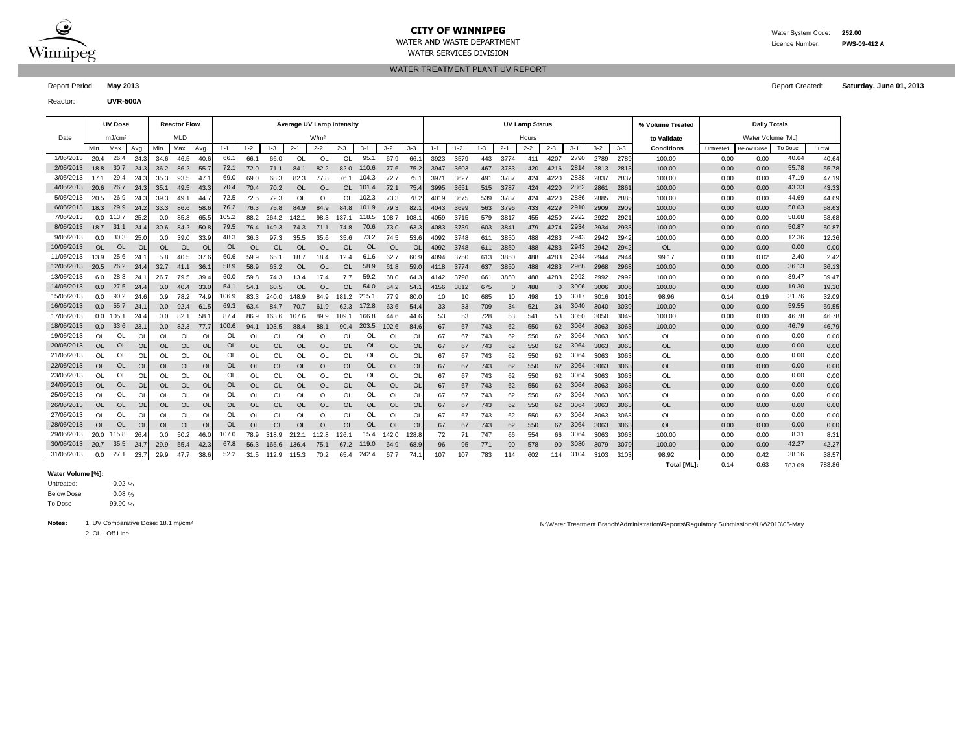

WATER SERVICES DIVISION

WATER AND WASTE DEPARTMENT Licence Number: **PWS-09-412 A**

WATER TREATMENT PLANT UV REPORT

Report Period: **May 2013** Report Created: **Saturday, June 01, 2013**

Reactor: **UVR-500A**

|            |           | <b>UV Dose</b>     |                |           | <b>Reactor Flow</b> |           |           |           |           | <b>Average UV Lamp Intensity</b> |                  |           |           |           |           |         |         |         |          | <b>UV Lamp Status</b> |          |         |         |         | % Volume Treated   |           | <b>Daily Totals</b> |         |        |
|------------|-----------|--------------------|----------------|-----------|---------------------|-----------|-----------|-----------|-----------|----------------------------------|------------------|-----------|-----------|-----------|-----------|---------|---------|---------|----------|-----------------------|----------|---------|---------|---------|--------------------|-----------|---------------------|---------|--------|
| Date       |           | mJ/cm <sup>2</sup> |                |           | <b>MLD</b>          |           |           |           |           |                                  | W/m <sup>2</sup> |           |           |           |           |         |         |         |          | Hours                 |          |         |         |         | to Validate        |           | Water Volume [ML]   |         |        |
|            | Min.      | Max.               | Avg            | Min.      | Max.                | Avg.      | $1 - 1$   | $1 - 2$   | $1 - 3$   | $2 - 1$                          | $2 - 2$          | $2 - 3$   | $3 - 1$   | $3 - 2$   | $3-3$     | $1 - 1$ | $1 - 2$ | $1 - 3$ | $2 - 1$  | $2 - 2$               | $2 - 3$  | $3 - 1$ | $3 - 2$ | $3 - 3$ | <b>Conditions</b>  | Untreated | <b>Below Dose</b>   | To Dose | Total  |
| 1/05/2013  | 20.4      | 26.4               | 24.3           | 34.6      | 46.5                | 40.6      | 66.1      | 66.1      | 66.0      | OL                               | $\Omega$         | $\Omega$  | 95.1      | 67.9      | 66.       | 3923    | 3579    | 443     | 3774     | 411                   | 4207     | 2790    | 2789    | 2789    | 100.00             | 0.00      | 0.00                | 40.64   | 40.64  |
| 2/05/2013  | 18.8      | 30.7               | 24.3           | 36.2      | 86.2 55.            |           | 72.1      | 72.0      | 71.1      | 84.1                             | 82.2             | 82.0      | 110.6     | 77.6      | 75.2      | 3947    | 3603    | 467     | 3783     | 420                   | 4216     | 2814    | 2813    | 2813    | 100.00             | 0.00      | 0.00                | 55.78   | 55.78  |
| 3/05/2013  | 17.1      | 29.4               | 24.3           | 35.3      | 93.5                | 47.       | 69.0      | 69.0      | 68.3      | 82.3                             | 77.8             | 76.1      | 104.3     | 72.7      | 75.       | 3971    | 3627    | 491     | 3787     | 424                   | 4220     | 2838    | 2837    | 2837    | 100.00             | 0.00      | 0.00                | 47.19   | 47.19  |
| 4/05/2013  | 20.6      | 26.7               | 24.3           | 35.1      | 49.5                | 43.3      | 70.4      | 70.4      | 70.2      | OL                               | <b>OL</b>        | OL        | 101.4     | 72.1      | 75.4      | 3995    | 3651    | 515     | 3787     | 424                   | 4220     | 2862    | 2861    | 286'    | 100.00             | 0.00      | 0.00                | 43.33   | 43.33  |
| 5/05/2013  | 20.5      | 26.9               | 24.3           | 39.3      | 49.1                | -44       | 72.5      | 72.5      | 72.3      | OL                               | OL               | OL        | 102.3     | 73.3      | 78.       | 4019    | 3675    | 539     | 3787     | 424                   | 4220     | 2886    | 2885    | 2885    | 100.00             | 0.00      | 0.00                | 44.69   | 44.69  |
| 6/05/2013  | 18.3      | 29.9               | 24.2           | 33.3      | 86.6                | 58.6      | 76.2      | 76.3      | 75.8      | 84.9                             | 84.9             | 84.8      | 101.9     | 79.3      | 82        | 4043    | 3699    | 563     | 3796     | 433                   | 4229     | 2910    | 2909    | 2909    | 100.00             | 0.00      | 0.00                | 58.63   | 58.63  |
| 7/05/201   |           | $0.0$ 113.7        | 25.2           | 0.0       | 85.8                | 65.       | 105.2     | 88.2      | 264.2     | 142.1                            | 98.3             | 137.1     | 118.5     | 108.7     | 108.      | 4059    | 3715    | 579     | 3817     | 455                   | 4250     | 2922    | 2922    | 2921    | 100.00             | 0.00      | 0.00                | 58.68   | 58.68  |
| 8/05/2013  | 18.7      | 31.1               | 24.            | 30.6      | 84.2                | 50.8      | 79.5      | 76.4      | 149.3     | 74.3                             | 71.1             | 74.8      | 70.6      | 73.0      | 63.       | 4083    | 3739    | 603     | 3841     | 479                   | 4274     | 2934    | 2934    | 2933    | 100.00             | 0.00      | 0.00                | 50.87   | 50.87  |
| 9/05/201   | 0.0       | 30.3               | 25.0           | 0.0       | 39.0                | 33.9      | 48.3      | 36.3      | 97.3      | 35.5                             | 35.6             | 35.6      | 73.2      | 74.5      | 53.6      | 4092    | 3748    | 611     | 3850     | 488                   | 4283     | 2943    | 2942    | 2942    | 100.00             | 0.00      | 0.00                | 12.36   | 12.36  |
| 10/05/2013 | <b>OL</b> | <b>OL</b>          | <b>OI</b>      | OL        | <b>OL</b>           | <b>OL</b> | <b>OL</b> | <b>OL</b> | OL        | OL                               | <b>OL</b>        | <b>OL</b> | <b>OL</b> | <b>OL</b> | O         | 4092    | 3748    | 611     | 3850     | 488                   | 4283     | 2943    | 2942    | 2942    | <b>OL</b>          | 0.00      | 0.00                | 0.00    | 0.00   |
| 11/05/2013 | 13.9      | 25.6               | 24.7           | 5.8       | 40.5                | 37.6      | 60.6      | 59.9      | 65.1      | 18.7                             | 18.4             | 12.4      | 61.6      | 62.7      | 60.9      | 4094    | 3750    | 613     | 3850     | 488                   | 4283     | 2944    | 2944    | 2944    | 99.17              | 0.00      | 0.02                | 2.40    | 2.42   |
| 12/05/2013 | 20.5      | 26.2               | 24.4           | 32.7      | 41.1                | 36.       | 58.9      | 58.9      | 63.2      | <b>OL</b>                        | <b>OL</b>        | <b>OL</b> | 58.9      | 61.8      | 59.0      | 4118    | 3774    | 637     | 3850     | 488                   | 4283     | 2968    | 2968    | 2968    | 100.00             | 0.00      | 0.00                | 36.13   | 36.13  |
| 13/05/2013 | 6.0       | 28.3               | 24.            | 26.7      | 79.5                | 39.       | 60.0      | 59.8      | 74.3      | 13.4                             | 17.4             | 7.7       | 59.2      | 68.0      | 64.       | 4142    | 3798    | 661     | 3850     | 488                   | 4283     | 2992    | 2992    | 2992    | 100.00             | 0.00      | 0.00                | 39.47   | 39.47  |
| 14/05/2013 | 0.0       | 27.5               | 24.4           | 0.0       | 40.4                | 33.0      | 54.1      | 54.1      | 60.5      | <b>OL</b>                        | <b>OL</b>        | <b>OL</b> | 54.0      | 54.2      | 54.       | 4156    | 3812    | 675     | $\Omega$ | 488                   | $\Omega$ | 3006    | 3006    | 3006    | 100.00             | 0.00      | 0.00                | 19.30   | 19.30  |
| 15/05/2013 | 0.0       | 90.2               | 24.6           | 0.9       | 78.2                | 74.9      | 106.9     | 83.3      | 240.0     | 148.9                            | 84.9             | 181.2     | 215.1     | 77.9      | 80.       | 10      | 10      | 685     | 10       | 498                   | 10       | 3017    | 3016    | 3016    | 98.96              | 0.14      | 0.19                | 31.76   | 32.09  |
| 16/05/2013 | 0.0       | 55.7               | 24.            | 0.0       | 92.4                | 61.       | 69.3      | 63.4      | 84.7      | 70.7                             | 61.9             | 62.3      | 172.8     | 63.6      | 54.       | 33      | 33      | 709     | 34       | 521                   | 34       | 3040    | 3040    | 3039    | 100.00             | 0.00      | 0.00                | 59.55   | 59.55  |
| 17/05/2013 |           | $0.0$ 105.1        | 24.            | 0.0       | 82.1                | 58        | 87.4      | 86.9      | 163.6     | 107.6                            | 89.9             | 109.1     | 166.8     | 44.6      | 44.6      | 53      | 53      | 728     | 53       | 541                   | 53       | 3050    | 3050    | 3049    | 100.00             | 0.00      | 0.00                | 46.78   | 46.78  |
| 18/05/2013 | 0.0       | 33.6               | 23.            | 0.0       | 82.3                | 77.       | 100.6     | 94.1      | 103.5     | 88.4                             | 88.1             | 90.4      | 203.5     | 102.6     | 84.6      | 67      | 67      | 743     | 62       | 550                   | 62       | 3064    | 3063    | 3063    | 100.00             | 0.00      | 0.00                | 46.79   | 46.79  |
| 19/05/2013 | OL        | OL                 | O              | OL        | OL                  | Ω         | OL        | OL        | OL        | Ol                               | OL               | <b>OL</b> | OL        | Ol        | O         | 67      | 67      | 743     | 62       | 550                   | 62       | 3064    | 3063    | 3063    | OL                 | 0.00      | 0.00                | 0.00    | 0.00   |
| 20/05/2013 | OL        | <b>OL</b>          | <b>OI</b>      | OL        | <b>OL</b>           | O         | <b>OL</b> | <b>OL</b> | <b>OL</b> | <b>OL</b>                        | <b>OL</b>        | $\Omega$  | <b>OL</b> | <b>OL</b> | $\Omega$  | 67      | 67      | 743     | 62       | 550                   | 62       | 3064    | 3063    | 3063    | <b>OL</b>          | 0.00      | 0.00                | 0.00    | 0.00   |
| 21/05/2013 | <b>OL</b> | OL                 | O              | OL        | OL                  | O         | OL        | OL        | OL        | OL                               | OL               | <b>OL</b> | OL        | OL        | OI        | 67      | 67      | 743     | 62       | 550                   | 62       | 3064    | 3063    | 3063    | OL                 | 0.00      | 0.00                | 0.00    | 0.00   |
| 22/05/2013 | <b>OL</b> | <b>OL</b>          | $\circ$        | OL        | <b>OL</b>           | <b>OL</b> | <b>OL</b> | <b>OL</b> | OL        | OL                               | <b>OL</b>        | <b>OL</b> | <b>OL</b> | <b>OL</b> | OI        | 67      | 67      | 743     | 62       | 550                   | 62       | 3064    | 3063    | 3063    | <b>OL</b>          | 0.00      | 0.00                | 0.00    | 0.00   |
| 23/05/2013 | OL        | OL                 | $\Omega$       | OL        | OL.                 | $\Omega$  | OL        | OL        | OL        | OL                               | OL               | <b>OL</b> | OL        | OL        | OI        | 67      | 67      | 743     | 62       | 550                   | 62       | 3064    | 3063    | 3063    | OL                 | 0.00      | 0.00                | 0.00    | 0.00   |
| 24/05/2013 | <b>OL</b> | OL                 | O              | OL        | OL                  | <b>OL</b> | OL        | <b>OL</b> | OL        | OL                               | <b>OL</b>        | $\Omega$  | OL        | OL        | OI        | 67      | 67      | 743     | 62       | 550                   | 62       | 3064    | 3063    | 3063    | <b>OL</b>          | 0.00      | 0.00                | 0.00    | 0.00   |
| 25/05/2013 | OL        | OL                 | O              | OL        | OL                  | <b>OL</b> | OL        | <b>OL</b> | OL        | OL                               | OL               | <b>OL</b> | OL        | OL        | OI        | 67      | 67      | 743     | 62       | 550                   | 62       | 3064    | 3063    | 3063    | OL                 | 0.00      | 0.00                | 0.00    | 0.00   |
| 26/05/2013 | <b>OL</b> | <b>OL</b>          | <b>OI</b>      | <b>OL</b> | <b>OL</b>           | <b>OL</b> | OL        | <b>OL</b> | OL        | OL                               | <b>OL</b>        | <b>OL</b> | <b>OL</b> | <b>OL</b> | OL        | 67      | 67      | 743     | 62       | 550                   | 62       | 3064    | 3063    | 3063    | OL                 | 0.00      | 0.00                | 0.00    | 0.00   |
| 27/05/2013 | <b>OL</b> | OL                 | O              | OL        | OL                  | O         | OL        | OL        | OL        | OL                               | OL               | OL        | OL        | OL        | OL        | 67      | 67      | 743     | 62       | 550                   | 62       | 3064    | 3063    | 3063    | OL                 | 0.00      | 0.00                | 0.00    | 0.00   |
| 28/05/2013 | OL        | <b>OL</b>          | O <sub>l</sub> | <b>OL</b> | <b>OL</b>           | <b>OL</b> | OL        | OL        | <b>OL</b> | <b>OL</b>                        | $\Omega$         | <b>OL</b> | <b>OL</b> | <b>OL</b> | <b>OL</b> | 67      | 67      | 743     | 62       | 550                   | 62       | 3064    | 3063    | 3063    | <b>OL</b>          | 0.00      | 0.00                | 0.00    | 0.00   |
| 29/05/2013 |           | 20.0 115.8         | 26.4           | 0.0       | 50.2                | 46.0      | 107.0     | 78.9      | 318.9     | 212.1                            | 112.8            | 126.1     | 15.4      | 142.0     | 128.8     | 72      | 71      | 747     | 66       | 554                   | 66       | 3064    | 3063    | 3063    | 100.00             | 0.00      | 0.00                | 8.31    | 8.31   |
| 30/05/2013 | 20.7      | 35.5               | 24.7           | 29.9      | 55.4                | 42.3      | 67.8      | 56.3      | 165.6     | 136.4                            | 75.1             | 67.2      | 119.0     | 64.9      | 68.9      | 96      | 95      | 771     | 90       | 578                   | 90       | 3080    | 3079    | 3079    | 100.00             | 0.00      | 0.00                | 42.27   | 42.27  |
| 31/05/2013 | 0.0       | 27.1               | 23.            | 29.9      | 47.7                | 38.6      | 52.2      | 31.5      | 112.9     | 115.3                            | 70.2             | 65.4      | 242.4     | 67.7      | 74.       | 107     | 107     | 783     | 114      | 602                   | 114      | 3104    | 3103    | 3103    | 98.92              | 0.00      | 0.42                | 38.16   | 38.57  |
|            |           |                    |                |           |                     |           |           |           |           |                                  |                  |           |           |           |           |         |         |         |          |                       |          |         |         |         | <b>Total [ML]:</b> | 0.14      | 0.63                | 783.09  | 783.86 |

#### **Water Volume [%]:**

0.02 % 0.08 % 99.90 % Untreated: Below Dose To Dose

2. OL - Off Line

Notes: 1. UV Comparative Dose: 18.1 mj/cm<sup>2</sup> notes: 18.1 mj/cm<sup>2</sup> notes: 18.1 mj/cm<sup>2</sup> notes: 18.1 mj/cm<sup>2</sup> notes: 18.1 mj/cm<sup>2</sup> notes: 18.1 mj/cm<sup>2</sup> notes: 18.1 mj/cm<sup>2</sup> notes: 18.1 mj/cm<sup>2</sup> notes: 18.1 mj/cm<sup>2</sup> notes: 18